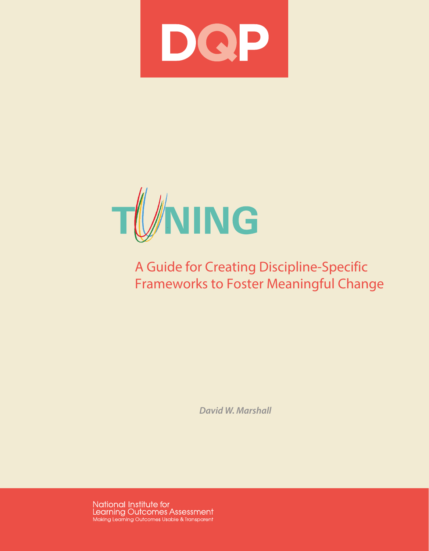



# A Guide for Creating Discipline-Specific Frameworks to Foster Meaningful Change

*David W. Marshall*

National Institute for<br>Learning Outcomes Assessment Making Learning Outcomes Usable & Transparent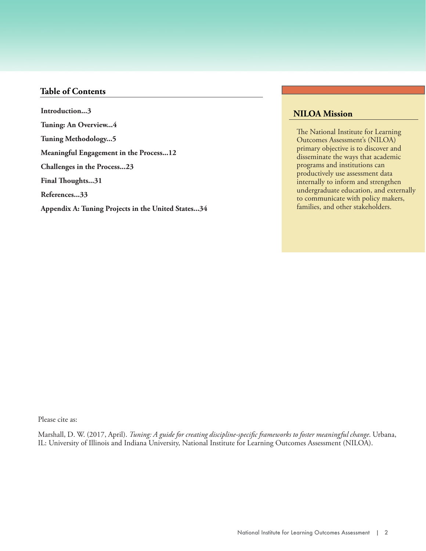# **Table of Contents**

**Introduction...3 Introduction...3 Tuning: An Overview...4 Tuning: An Overview...4 Meaningful Engagement in the Process...11 Tuning Methodology...5 Challenges in the Process...20 Meaningful Engagement in the Process...12 References...29 Challenges in the Process...23 Final Thoughts...31 References...33 Appendix A: Tuning Projects in the United States...34**

# **NILOA Mission**

The National Institute for Learning Outcomes Assessment's (NILOA) primary objective is to discover and disseminate the ways that academic programs and institutions can productively use assessment data internally to inform and strengthen undergraduate education, and externally to communicate with policy makers, families, and other stakeholders.

Please cite as:

Marshall, D. W. (2017, April). *Tuning: A guide for creating discipline-specific frameworks to foster meaningful change*. Urbana, IL: University of Illinois and Indiana University, National Institute for Learning Outcomes Assessment (NILOA).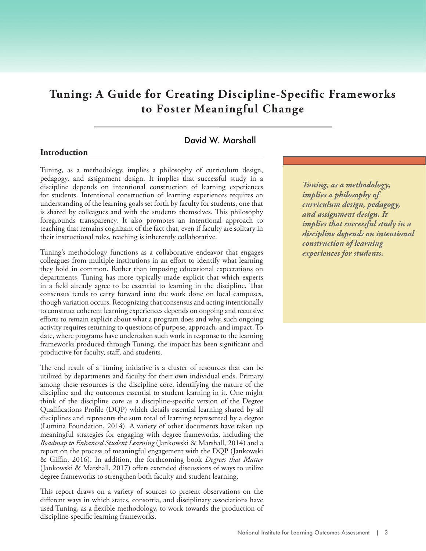# **Tuning: A Guide for Creating Discipline-Specific Frameworks to Foster Meaningful Change**

# David W. Marshall

#### **Introduction**

Tuning, as a methodology, implies a philosophy of curriculum design, pedagogy, and assignment design. It implies that successful study in a discipline depends on intentional construction of learning experiences for students. Intentional construction of learning experiences requires an understanding of the learning goals set forth by faculty for students, one that is shared by colleagues and with the students themselves. This philosophy foregrounds transparency. It also promotes an intentional approach to teaching that remains cognizant of the fact that, even if faculty are solitary in their instructional roles, teaching is inherently collaborative.

Tuning's methodology functions as a collaborative endeavor that engages colleagues from multiple institutions in an effort to identify what learning they hold in common. Rather than imposing educational expectations on departments, Tuning has more typically made explicit that which experts in a field already agree to be essential to learning in the discipline. That consensus tends to carry forward into the work done on local campuses, though variation occurs. Recognizing that consensus and acting intentionally to construct coherent learning experiences depends on ongoing and recursive efforts to remain explicit about what a program does and why, such ongoing activity requires returning to questions of purpose, approach, and impact. To date, where programs have undertaken such work in response to the learning frameworks produced through Tuning, the impact has been significant and productive for faculty, staff, and students.

The end result of a Tuning initiative is a cluster of resources that can be utilized by departments and faculty for their own individual ends. Primary among these resources is the discipline core, identifying the nature of the discipline and the outcomes essential to student learning in it. One might think of the discipline core as a discipline-specific version of the Degree Qualifications Profile (DQP) which details essential learning shared by all disciplines and represents the sum total of learning represented by a degree (Lumina Foundation, 2014). A variety of other documents have taken up meaningful strategies for engaging with degree frameworks, including the *Roadmap to Enhanced Student Learning* (Jankowski & Marshall, 2014) and a report on the process of meaningful engagement with the DQP (Jankowski & Giffin, 2016). In addition, the forthcoming book *Degrees that Matter* (Jankowski & Marshall, 2017) offers extended discussions of ways to utilize degree frameworks to strengthen both faculty and student learning.

This report draws on a variety of sources to present observations on the different ways in which states, consortia, and disciplinary associations have used Tuning, as a flexible methodology, to work towards the production of discipline-specific learning frameworks.

*Conducting assessment in Tuning, as a methodology, a manner that takes into implies a philosophy of consideration the various curriculum design, pedagogy, needs of different student and assignment design. It populations is a responsibility implies that successful study in a of higher education. discipline depends on intentional construction of learning experiences for students.*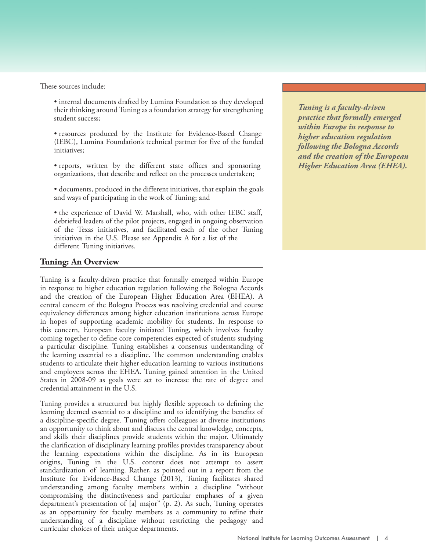These sources include:

• internal documents drafted by Lumina Foundation as they developed their thinking around Tuning as a foundation strategy for strengthening student success;

• resources produced by the Institute for Evidence-Based Change (IEBC), Lumina Foundation's technical partner for five of the funded initiatives;

• reports, written by the different state offices and sponsoring organizations, that describe and reflect on the processes undertaken;

• documents, produced in the different initiatives, that explain the goals and ways of participating in the work of Tuning; and

• the experience of David W. Marshall, who, with other IEBC staff, debriefed leaders of the pilot projects, engaged in ongoing observation of the Texas initiatives, and facilitated each of the other Tuning initiatives in the U.S. Please see Appendix A for a list of the different Tuning initiatives.

# **Tuning: An Overview**

Tuning is a faculty-driven practice that formally emerged within Europe in response to higher education regulation following the Bologna Accords and the creation of the European Higher Education Area (EHEA). A central concern of the Bologna Process was resolving credential and course equivalency differences among higher education institutions across Europe in hopes of supporting academic mobility for students. In response to this concern, European faculty initiated Tuning, which involves faculty coming together to define core competencies expected of students studying a particular discipline. Tuning establishes a consensus understanding of the learning essential to a discipline. The common understanding enables students to articulate their higher education learning to various institutions and employers across the EHEA. Tuning gained attention in the United States in 2008-09 as goals were set to increase the rate of degree and credential attainment in the U.S.

Tuning provides a structured but highly flexible approach to defining the learning deemed essential to a discipline and to identifying the benefits of a discipline-specific degree. Tuning offers colleagues at diverse institutions an opportunity to think about and discuss the central knowledge, concepts, and skills their disciplines provide students within the major. Ultimately the clarification of disciplinary learning profiles provides transparency about the learning expectations within the discipline. As in its European origins, Tuning in the U.S. context does not attempt to assert standardization of learning. Rather, as pointed out in a report from the Institute for Evidence-Based Change (2013), Tuning facilitates shared understanding among faculty members within a discipline "without compromising the distinctiveness and particular emphases of a given department's presentation of [a] major" (p. 2). As such, Tuning operates as an opportunity for faculty members as a community to refine their understanding of a discipline without restricting the pedagogy and curricular choices of their unique departments.

*Conducting assessment in Tuning is a faculty-driven a manner that takes into practice that formally emerged consideration the various within Europe in response to*   $$ *populations is a responsibility following the Bologna Accords of higher education. and the creation of the European Higher Education Area (EHEA).*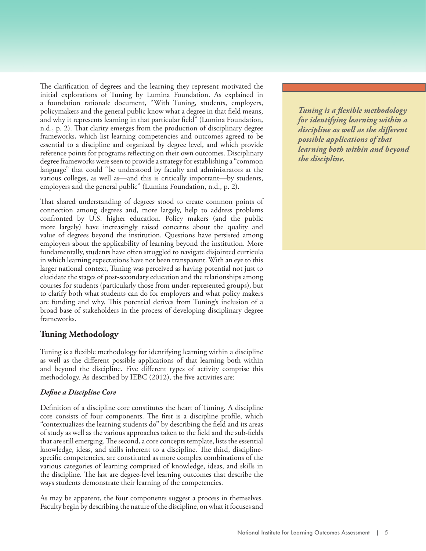The clarification of degrees and the learning they represent motivated the initial explorations of Tuning by Lumina Foundation. As explained in a foundation rationale document, "With Tuning, students, employers, policymakers and the general public know what a degree in that field means, and why it represents learning in that particular field" (Lumina Foundation, n.d., p. 2). That clarity emerges from the production of disciplinary degree frameworks, which list learning competencies and outcomes agreed to be essential to a discipline and organized by degree level, and which provide reference points for programs reflecting on their own outcomes. Disciplinary degree frameworks were seen to provide a strategy for establishing a "common language" that could "be understood by faculty and administrators at the various colleges, as well as—and this is critically important—by students, employers and the general public" (Lumina Foundation, n.d., p. 2).

That shared understanding of degrees stood to create common points of connection among degrees and, more largely, help to address problems confronted by U.S. higher education. Policy makers (and the public more largely) have increasingly raised concerns about the quality and value of degrees beyond the institution. Questions have persisted among employers about the applicability of learning beyond the institution. More fundamentally, students have often struggled to navigate disjointed curricula in which learning expectations have not been transparent. With an eye to this larger national context, Tuning was perceived as having potential not just to elucidate the stages of post-secondary education and the relationships among courses for students (particularly those from under-represented groups), but to clarify both what students can do for employers and what policy makers are funding and why. This potential derives from Tuning's inclusion of a broad base of stakeholders in the process of developing disciplinary degree frameworks.

# **Tuning Methodology**

Tuning is a flexible methodology for identifying learning within a discipline as well as the different possible applications of that learning both within and beyond the discipline. Five different types of activity comprise this methodology. As described by IEBC (2012), the five activities are:

# *Define a Discipline Core*

Definition of a discipline core constitutes the heart of Tuning. A discipline core consists of four components. The first is a discipline profile, which "contextualizes the learning students do" by describing the field and its areas of study as well as the various approaches taken to the field and the sub-fields that are still emerging. The second, a core concepts template, lists the essential knowledge, ideas, and skills inherent to a discipline. The third, disciplinespecific competencies, are constituted as more complex combinations of the various categories of learning comprised of knowledge, ideas, and skills in the discipline. The last are degree-level learning outcomes that describe the ways students demonstrate their learning of the competencies.

As may be apparent, the four components suggest a process in themselves. Faculty begin by describing the nature of the discipline, on what it focuses and

*Tuning is a flexible methodology for identifying learning within a discipline as well as the different possible applications of that learning both within and beyond the discipline.*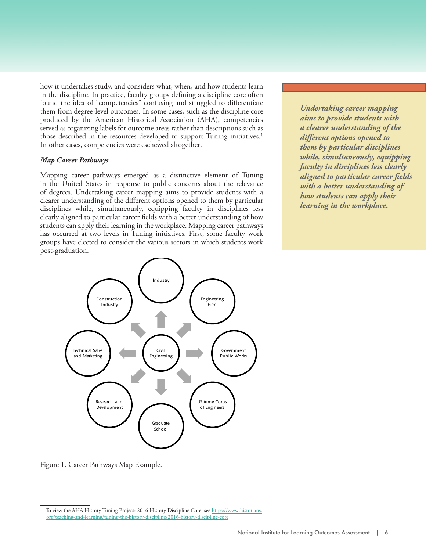how it undertakes study, and considers what, when, and how students learn in the discipline. In practice, faculty groups defining a discipline core often found the idea of "competencies" confusing and struggled to differentiate them from degree-level outcomes. In some cases, such as the discipline core produced by the American Historical Association (AHA), competencies served as organizing labels for outcome areas rather than descriptions such as those described in the resources developed to support Tuning initiatives.<sup>1</sup> In other cases, competencies were eschewed altogether.

#### *Map Career Pathways*

Mapping career pathways emerged as a distinctive element of Tuning in the United States in response to public concerns about the relevance of degrees. Undertaking career mapping aims to provide students with a clearer understanding of the different options opened to them by particular disciplines while, simultaneously, equipping faculty in disciplines less clearly aligned to particular career fields with a better understanding of how students can apply their learning in the workplace. Mapping career pathways has occurred at two levels in Tuning initiatives. First, some faculty work groups have elected to consider the various sectors in which students work post-graduation.

*The manner in which students Conducting assessment in Undertaking career mapping demonstrate learning is a manner that takes into aims to provide students with irrelevent when student consideration the various a clearer understanding of the different options opened to same learning outcomes and populations is a responsibility them by particular disciplines while, simultaneously, equipping faculty in disciplines less clearly aligned to particular career fields with a better understanding of how students can apply their learning in the workplace.*



Figure 1. Career Pathways Map Example.

To view the AHA History Tuning Project: 2016 History Discipline Core, se[e https://www.historians.](https://www.historians.org/teaching-and-learning/tuning-the-history-discipline/2016-history-discipline-core) [org/teaching-and-learning/tuning-the-history-discipline/2016-history-discipline-core](https://www.historians.org/teaching-and-learning/tuning-the-history-discipline/2016-history-discipline-core)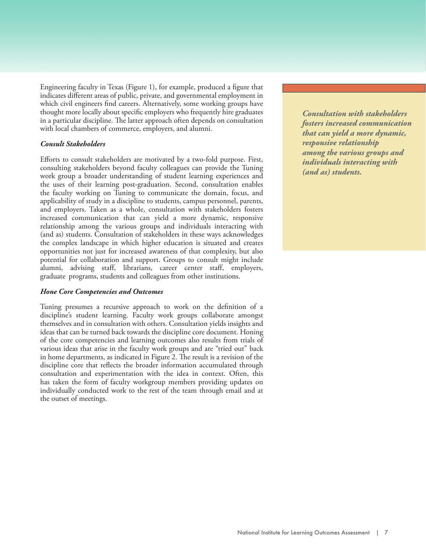Engineering faculty in Texas (Figure 1), for example, produced a figure that indicates different areas of public, private, and governmental employment in which civil engineers find careers. Alternatively, some working groups have thought more locally about specific employers who frequently hire graduates in a particular discipline. The latter approach often depends on consultation with local chambers of commerce, employers, and alumni.

#### *Consult Stakeholders*

Efforts to consult stakeholders are motivated by a two-fold purpose. First, consulting stakeholders beyond faculty colleagues can provide the Tuning work group a broader understanding of student learning experiences and the uses of their learning post-graduation. Second, consultation enables the faculty working on Tuning to communicate the domain, focus, and applicability of study in a discipline to students, campus personnel, parents, and employers. Taken as a whole, consultation with stakeholders fosters increased communication that can yield a more dynamic, responsive relationship among the various groups and individuals interacting with (and as) students. Consultation of stakeholders in these ways acknowledges the complex landscape in which higher education is situated and creates opportunities not just for increased awareness of that complexity, but also potential for collaboration and support. Groups to consult might include alumni, advising staff, librarians, career center staff, employers, graduate programs, students and colleagues from other institutions.

#### *Hone Core Competencies and Outcomes*

Tuning presumes a recursive approach to work on the definition of a discipline's student learning. Faculty work groups collaborate amongst themselves and in consultation with others. Consultation yields insights and ideas that can be turned back towards the discipline core document. Honing of the core competencies and learning outcomes also results from trials of various ideas that arise in the faculty work groups and are "tried out" back in home departments, as indicated in Figure 2. The result is a revision of the discipline core that reflects the broader information accumulated through consultation and experimentation with the idea in context. Often, this has taken the form of faculty workgroup members providing updates on individually conducted work to the rest of the team through email and at the outset of meetings.

*While learning may happen anywhere and learners may need different lenghts consideration the various fosters increased communication that can yield a more dynamic, process, there is still the issue populations is a responsibility responsive relationship of who gets to validate that of higher education. among the various groups and individuals interacting with demonstrations of learning are (and as) students.Conducting assessment in a manner that takes into Consultation with stakeholders*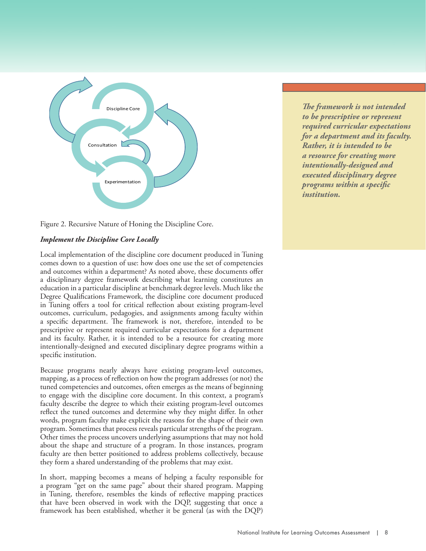

Figure 2. Recursive Nature of Honing the Discipline Core.

# *Implement the Discipline Core Locally*

Local implementation of the discipline core document produced in Tuning comes down to a question of use: how does one use the set of competencies and outcomes within a department? As noted above, these documents offer a disciplinary degree framework describing what learning constitutes an education in a particular discipline at benchmark degree levels. Much like the Degree Qualifications Framework, the discipline core document produced in Tuning offers a tool for critical reflection about existing program-level outcomes, curriculum, pedagogies, and assignments among faculty within a specific department. The framework is not, therefore, intended to be prescriptive or represent required curricular expectations for a department and its faculty. Rather, it is intended to be a resource for creating more intentionally-designed and executed disciplinary degree programs within a specific institution.

Because programs nearly always have existing program-level outcomes, mapping, as a process of reflection on how the program addresses (or not) the tuned competencies and outcomes, often emerges as the means of beginning to engage with the discipline core document. In this context, a program's faculty describe the degree to which their existing program-level outcomes reflect the tuned outcomes and determine why they might differ. In other words, program faculty make explicit the reasons for the shape of their own program. Sometimes that process reveals particular strengths of the program. Other times the process uncovers underlying assumptions that may not hold about the shape and structure of a program. In those instances, program faculty are then better positioned to address problems collectively, because they form a shared understanding of the problems that may exist.

In short, mapping becomes a means of helping a faculty responsible for a program "get on the same page" about their shared program. Mapping in Tuning, therefore, resembles the kinds of reflective mapping practices that have been observed in work with the DQP, suggesting that once a framework has been established, whether it be general (as with the DQP)

*The framework is not intended component involves assuring a manner that takes into to be prescriptive or represent that the assessment process*— *consideration the various required curricular expectations beginning with student needs of different student for a department and its faculty. learning outcome statements populations is a responsibility Rather, it is intended to be and ending with improvements of higher education. a resource for creating more in student learning*—*is intentionally-designed and mindful of student differences executed disciplinary degree and employs assessment programs within a specific methods appropriate for institution.*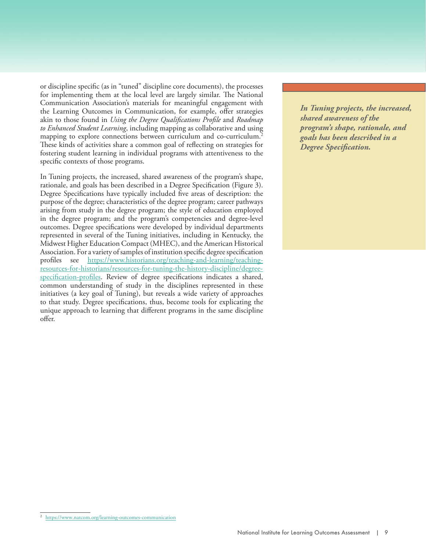or discipline specific (as in "tuned" discipline core documents), the processes for implementing them at the local level are largely similar. The National Communication Association's materials for meaningful engagement with the Learning Outcomes in Communication, for example, offer strategies akin to those found in *Using the Degree Qualifications Profile* and *Roadmap to Enhanced Student Learning*, including mapping as collaborative and using mapping to explore connections between curriculum and co-curriculum.<sup>2</sup> These kinds of activities share a common goal of reflecting on strategies for fostering student learning in individual programs with attentiveness to the specific contexts of those programs.

In Tuning projects, the increased, shared awareness of the program's shape, rationale, and goals has been described in a Degree Specification (Figure 3). Degree Specifications have typically included five areas of description: the purpose of the degree; characteristics of the degree program; career pathways arising from study in the degree program; the style of education employed in the degree program; and the program's competencies and degree-level outcomes. Degree specifications were developed by individual departments represented in several of the Tuning initiatives, including in Kentucky, the Midwest Higher Education Compact (MHEC), and the American Historical Association. For a variety of samples of institution specific degree specification profiles see [https://www.historians.org/teaching-and-learning/teaching](https://www.historians.org/teaching-and-learning/teaching-resources-for-historians/resources-for-tuning-the-history-discipline/degree-specification-profiles)[resources-for-historians/resources-for-tuning-the-history-discipline/degree](https://www.historians.org/teaching-and-learning/teaching-resources-for-historians/resources-for-tuning-the-history-discipline/degree-specification-profiles)[specification-profiles.](https://www.historians.org/teaching-and-learning/teaching-resources-for-historians/resources-for-tuning-the-history-discipline/degree-specification-profiles) Review of degree specifications indicates a shared, common understanding of study in the disciplines represented in these initiatives (a key goal of Tuning), but reveals a wide variety of approaches to that study. Degree specifications, thus, become tools for explicating the unique approach to learning that different programs in the same discipline offer.

In Tuning projects, the increased, *processes can help reinforce a manner that takes into shared awareness of the a sense of belonging or add consideration the various program's shape, rationale, and to students' belief that they needs of different student goals has been described in a do not belong because their populations is a responsibility Degree Specification.*

<sup>2</sup> https://www.natcom.org/learning-outcomes-communication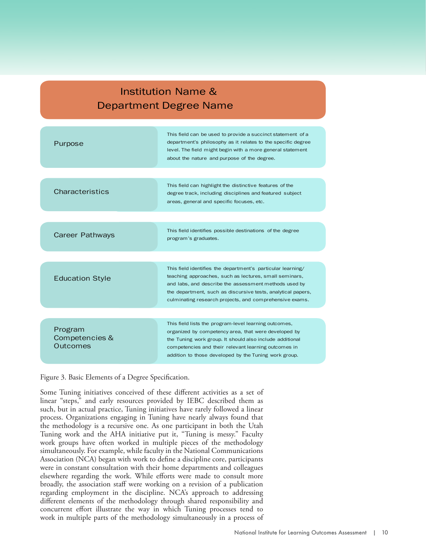# Institution Name & Department Degree Name

| Purpose                               | This field can be used to provide a succinct statement of a<br>department's philosophy as it relates to the specific degree<br>level. The field might begin with a more general statement<br>about the nature and purpose of the degree.                                                                  |
|---------------------------------------|-----------------------------------------------------------------------------------------------------------------------------------------------------------------------------------------------------------------------------------------------------------------------------------------------------------|
|                                       |                                                                                                                                                                                                                                                                                                           |
| <b>Characteristics</b>                | This field can highlight the distinctive features of the<br>degree track, including disciplines and featured subject<br>areas, general and specific focuses, etc.                                                                                                                                         |
|                                       |                                                                                                                                                                                                                                                                                                           |
| Career Pathways                       | This field identifies possible destinations of the degree<br>program's graduates.                                                                                                                                                                                                                         |
|                                       |                                                                                                                                                                                                                                                                                                           |
| <b>Education Style</b>                | This field identifies the department's particular learning/<br>teaching approaches, such as lectures, small seminars,<br>and labs, and describe the assessment methods used by<br>the department, such as discursive tests, analytical papers,<br>culminating research projects, and comprehensive exams. |
|                                       |                                                                                                                                                                                                                                                                                                           |
| Program<br>Competencies &<br>Outcomes | This field lists the program-level learning outcomes,<br>organized by competency area, that were developed by<br>the Tuning work group. It should also include additional<br>competencies and their relevant learning outcomes in<br>addition to those developed by the Tuning work group.                |

Figure 3. Basic Elements of a Degree Specification.

Some Tuning initiatives conceived of these different activities as a set of linear "steps," and early resources provided by IEBC described them as such, but in actual practice, Tuning initiatives have rarely followed a linear process. Organizations engaging in Tuning have nearly always found that the methodology is a recursive one. As one participant in both the Utah Tuning work and the AHA initiative put it, "Tuning is messy." Faculty work groups have often worked in multiple pieces of the methodology simultaneously. For example, while faculty in the National Communications Association (NCA) began with work to define a discipline core, participants were in constant consultation with their home departments and colleagues elsewhere regarding the work. While efforts were made to consult more broadly, the association staff were working on a revision of a publication regarding employment in the discipline. NCA's approach to addressing different elements of the methodology through shared responsibility and concurrent effort illustrate the way in which Tuning processes tend to work in multiple parts of the methodology simultaneously in a process of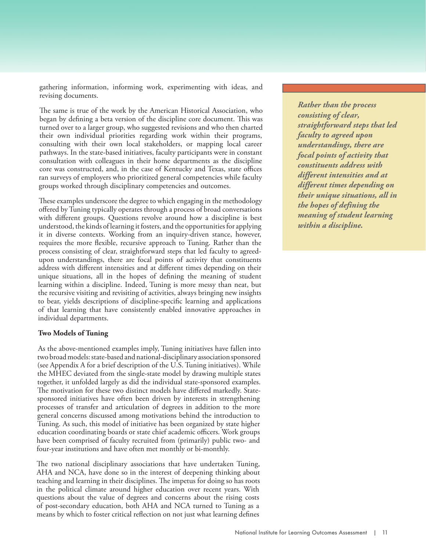gathering information, informing work, experimenting with ideas, and revising documents.

The same is true of the work by the American Historical Association, who began by defining a beta version of the discipline core document. This was turned over to a larger group, who suggested revisions and who then charted their own individual priorities regarding work within their programs, consulting with their own local stakeholders, or mapping local career pathways. In the state-based initiatives, faculty participants were in constant consultation with colleagues in their home departments as the discipline core was constructed, and, in the case of Kentucky and Texas, state offices ran surveys of employers who prioritized general competencies while faculty groups worked through disciplinary competencies and outcomes.

These examples underscore the degree to which engaging in the methodology offered by Tuning typically operates through a process of broad conversations with different groups. Questions revolve around how a discipline is best understood, the kinds of learning it fosters, and the opportunities for applying it in diverse contexts. Working from an inquiry-driven stance, however, requires the more flexible, recursive approach to Tuning. Rather than the process consisting of clear, straightforward steps that led faculty to agreedupon understandings, there are focal points of activity that constituents address with different intensities and at different times depending on their unique situations, all in the hopes of defining the meaning of student learning within a discipline. Indeed, Tuning is more messy than neat, but the recursive visiting and revisiting of activities, always bringing new insights to bear, yields descriptions of discipline-specific learning and applications of that learning that have consistently enabled innovative approaches in individual departments.

#### **Two Models of Tuning**

As the above-mentioned examples imply, Tuning initiatives have fallen into two broad models: state-based and national-disciplinary association sponsored (see Appendix A for a brief description of the U.S. Tuning initiatives). While the MHEC deviated from the single-state model by drawing multiple states together, it unfolded largely as did the individual state-sponsored examples. The motivation for these two distinct models have differed markedly. Statesponsored initiatives have often been driven by interests in strengthening processes of transfer and articulation of degrees in addition to the more general concerns discussed among motivations behind the introduction to Tuning. As such, this model of initiative has been organized by state higher education coordinating boards or state chief academic officers. Work groups have been comprised of faculty recruited from (primarily) public two- and four-year institutions and have often met monthly or bi-monthly.

The two national disciplinary associations that have undertaken Tuning, AHA and NCA, have done so in the interest of deepening thinking about teaching and learning in their disciplines. The impetus for doing so has roots in the political climate around higher education over recent years. With questions about the value of degrees and concerns about the rising costs of post-secondary education, both AHA and NCA turned to Tuning as a means by which to foster critical reflection on not just what learning defines

*Rather than the process consisting of clear, straightforward steps that led faculty to agreed upon understandings, there are focal points of activity that constituents address with different intensities and at different times depending on their unique situations, all in the hopes of defining the meaning of student learning within a discipline.*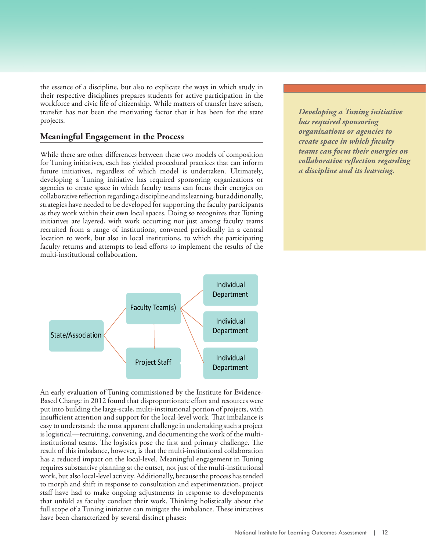the essence of a discipline, but also to explicate the ways in which study in their respective disciplines prepares students for active participation in the workforce and civic life of citizenship. While matters of transfer have arisen, transfer has not been the motivating factor that it has been for the state projects.

# **Meaningful Engagement in the Process**

While there are other differences between these two models of composition for Tuning initiatives, each has yielded procedural practices that can inform future initiatives, regardless of which model is undertaken. Ultimately, developing a Tuning initiative has required sponsoring organizations or agencies to create space in which faculty teams can focus their energies on collaborative reflection regarding a discipline and its learning, but additionally, strategies have needed to be developed for supporting the faculty participants as they work within their own local spaces. Doing so recognizes that Tuning initiatives are layered, with work occurring not just among faculty teams recruited from a range of institutions, convened periodically in a central location to work, but also in local institutions, to which the participating faculty returns and attempts to lead efforts to implement the results of the multi-institutional collaboration.

*By being mindful of how culture Conducting assessment in Developing a Tuning initiative affects students' meaning-a manner that takes into has required sponsoring mas required sponsoring*<br> *organizations or agencies to demonstrations of learning, we can needs of different student create space in which faculty better space in annum juritury*<br> *beams* can focus their energies on *the learning gains that students of higher education. teams can focus their energies on collaborative reflection regarding make. a discipline and its learning.*



An early evaluation of Tuning commissioned by the Institute for Evidence-Based Change in 2012 found that disproportionate effort and resources were put into building the large-scale, multi-institutional portion of projects, with insufficient attention and support for the local-level work. That imbalance is easy to understand: the most apparent challenge in undertaking such a project is logistical—recruiting, convening, and documenting the work of the multiinstitutional teams. The logistics pose the first and primary challenge. The result of this imbalance, however, is that the multi-institutional collaboration has a reduced impact on the local-level. Meaningful engagement in Tuning requires substantive planning at the outset, not just of the multi-institutional work, but also local-level activity. Additionally, because the process has tended to morph and shift in response to consultation and experimentation, project staff have had to make ongoing adjustments in response to developments that unfold as faculty conduct their work. Thinking holistically about the full scope of a Tuning initiative can mitigate the imbalance. These initiatives have been characterized by several distinct phases: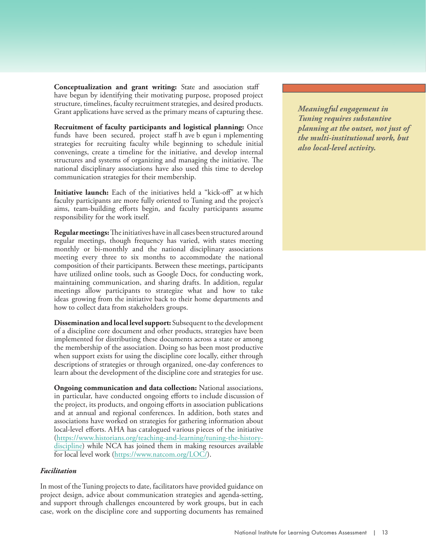**Conceptualization and grant writing:** State and association staff have begun by identifying their motivating purpose, proposed project structure, timelines, faculty recruitment strategies, and desired products. Grant applications have served as the primary means of capturing these.

**Recruitment of faculty participants and logistical planning:** Once funds have been secured, project staff h ave b egun i mplementing strategies for recruiting faculty while beginning to schedule initial convenings, create a timeline for the initiative, and develop internal structures and systems of organizing and managing the initiative. The national disciplinary associations have also used this time to develop communication strategies for their membership.

Initiative launch: Each of the initiatives held a "kick-off" at which faculty participants are more fully oriented to Tuning and the project's aims, team-building efforts begin, and faculty participants assume responsibility for the work itself.

**Regular meetings:** The initiatives have in all cases been structured around regular meetings, though frequency has varied, with states meeting monthly or bi-monthly and the national disciplinary associations meeting every three to six months to accommodate the national composition of their participants. Between these meetings, participants have utilized online tools, such as Google Docs, for conducting work, maintaining communication, and sharing drafts. In addition, regular meetings allow participants to strategize what and how to take ideas growing from the initiative back to their home departments and how to collect data from stakeholders groups.

**Dissemination and local level support:** Subsequent to the development of a discipline core document and other products, strategies have been implemented for distributing these documents across a state or among the membership of the association. Doing so has been most productive when support exists for using the discipline core locally, either through descriptions of strategies or through organized, one-day conferences to learn about the development of the discipline core and strategies for use.

**Ongoing communication and data collection:** National associations, in particular, have conducted ongoing efforts to include discussion of the project, its products, and ongoing efforts in association publications and at annual and regional conferences. In addition, both states and associations have worked on strategies for gathering information about local-level efforts. AHA has catalogued various pieces of the initiative [\(https://www.historians.org/teaching-and-learning/tuning-the-history](https://www.historians.org/teaching-and-learning/tuning-the-history-discipline)[discipline\)](https://www.historians.org/teaching-and-learning/tuning-the-history-discipline) while NCA has joined them in making resources available for local level work [\(https://www.natcom.org/LOC/\)](https://www.natcom.org/LOC/).

#### *Facilitation*

In most of the Tuning projects to date, facilitators have provided guidance on project design, advice about communication strategies and agenda-setting, and support through challenges encountered by work groups, but in each case, work on the discipline core and supporting documents has remained

*Students' college experiences Conducting assessment in Meaningful engagement in Funing requires substantive daily experiences such as consideration the various planning at the outset, not just of those encountered at work, needs of different student the multi-institutional work, but microaggressions endured populations is a responsibility also local-level activity.*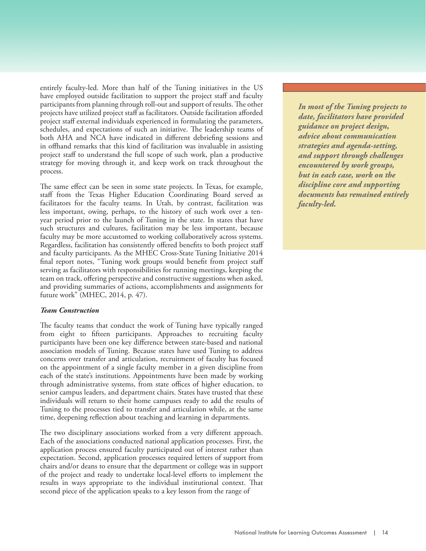entirely faculty-led. More than half of the Tuning initiatives in the US have employed outside facilitation to support the project staff and faculty participants from planning through roll-out and support of results. The other projects have utilized project staff as facilitators. Outside facilitation afforded project staff external individuals experienced in formulating the parameters, schedules, and expectations of such an initiative. The leadership teams of both AHA and NCA have indicated in different debriefing sessions and in offhand remarks that this kind of facilitation was invaluable in assisting project staff to understand the full scope of such work, plan a productive strategy for moving through it, and keep work on track throughout the process.

The same effect can be seen in some state projects. In Texas, for example, staff from the Texas Higher Education Coordinating Board served as facilitators for the faculty teams. In Utah, by contrast, facilitation was less important, owing, perhaps, to the history of such work over a tenyear period prior to the launch of Tuning in the state. In states that have such structures and cultures, facilitation may be less important, because faculty may be more accustomed to working collaboratively across systems. Regardless, facilitation has consistently offered benefits to both project staff and faculty participants. As the MHEC Cross-State Tuning Initiative 2014 final report notes, "Tuning work groups would benefit from project staff serving as facilitators with responsibilities for running meetings, keeping the team on track, offering perspective and constructive suggestions when asked, and providing summaries of actions, accomplishments and assignments for future work" (MHEC, 2014, p. 47).

#### *Team Construction*

The faculty teams that conduct the work of Tuning have typically ranged from eight to fifteen participants. Approaches to recruiting faculty participants have been one key difference between state-based and national association models of Tuning. Because states have used Tuning to address concerns over transfer and articulation, recruitment of faculty has focused on the appointment of a single faculty member in a given discipline from each of the state's institutions. Appointments have been made by working through administrative systems, from state offices of higher education, to senior campus leaders, and department chairs. States have trusted that these individuals will return to their home campuses ready to add the results of Tuning to the processes tied to transfer and articulation while, at the same time, deepening reflection about teaching and learning in departments.

The two disciplinary associations worked from a very different approach. Each of the associations conducted national application processes. First, the application process ensured faculty participated out of interest rather than expectation. Second, application processes required letters of support from chairs and/or deans to ensure that the department or college was in support of the project and ready to undertake local-level efforts to implement the results in ways appropriate to the individual institutional context. That second piece of the application speaks to a key lesson from the range of

*Assessment that overlooks Conducting assessment in In most of the Tuning projects to issues of diversity and equity a manner that takes into date, facilitators have provided contributes to inequalities in consideration the various guidance on project design, outcomes. The same can be needs of different student advice about communication said for assessment approaches populations is a responsibility strategies and agenda-setting, that do not take into account of higher education. and support through challenges students' culture. encountered by work groups, but in each case, work on the discipline core and supporting documents has remained entirely faculty-led.*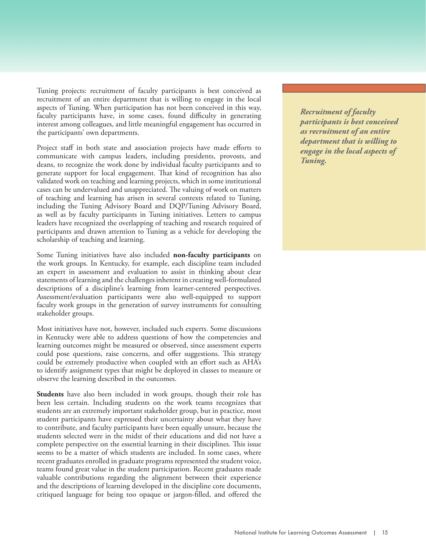Tuning projects: recruitment of faculty participants is best conceived as recruitment of an entire department that is willing to engage in the local aspects of Tuning. When participation has not been conceived in this way, faculty participants have, in some cases, found difficulty in generating interest among colleagues, and little meaningful engagement has occurred in the participants' own departments.

Project staff in both state and association projects have made efforts to communicate with campus leaders, including presidents, provosts, and deans, to recognize the work done by individual faculty participants and to generate support for local engagement. That kind of recognition has also validated work on teaching and learning projects, which in some institutional cases can be undervalued and unappreciated. The valuing of work on matters of teaching and learning has arisen in several contexts related to Tuning, including the Tuning Advisory Board and DQP/Tuning Advisory Board, as well as by faculty participants in Tuning initiatives. Letters to campus leaders have recognized the overlapping of teaching and research required of participants and drawn attention to Tuning as a vehicle for developing the scholarship of teaching and learning.

Some Tuning initiatives have also included **non-faculty participants** on the work groups. In Kentucky, for example, each discipline team included an expert in assessment and evaluation to assist in thinking about clear statements of learning and the challenges inherent in creating well-formulated descriptions of a discipline's learning from learner-centered perspectives. Assessment/evaluation participants were also well-equipped to support faculty work groups in the generation of survey instruments for consulting stakeholder groups.

Most initiatives have not, however, included such experts. Some discussions in Kentucky were able to address questions of how the competencies and learning outcomes might be measured or observed, since assessment experts could pose questions, raise concerns, and offer suggestions. This strategy could be extremely productive when coupled with an effort such as AHA's to identify assignment types that might be deployed in classes to measure or observe the learning described in the outcomes.

**Students** have also been included in work groups, though their role has been less certain. Including students on the work teams recognizes that students are an extremely important stakeholder group, but in practice, most student participants have expressed their uncertainty about what they have to contribute, and faculty participants have been equally unsure, because the students selected were in the midst of their educations and did not have a complete perspective on the essential learning in their disciplines. This issue seems to be a matter of which students are included. In some cases, where recent graduates enrolled in graduate programs represented the student voice, teams found great value in the student participation. Recent graduates made valuable contributions regarding the alignment between their experience and the descriptions of learning developed in the discipline core documents, critiqued language for being too opaque or jargon-filled, and offered the *What is needed is not to help Conducting assessment in Recruitment of faculty learners conform to the ways a manner that takes into participants is best conceived of higher education, thus consideration the various as recruitment of an entire reinforcing inequities and needs of different student department that is willing to expectations based on ideologies the students may ascribe to, but to empower students for populations is a responsibility of higher education. engage in the local aspects of Tuning.*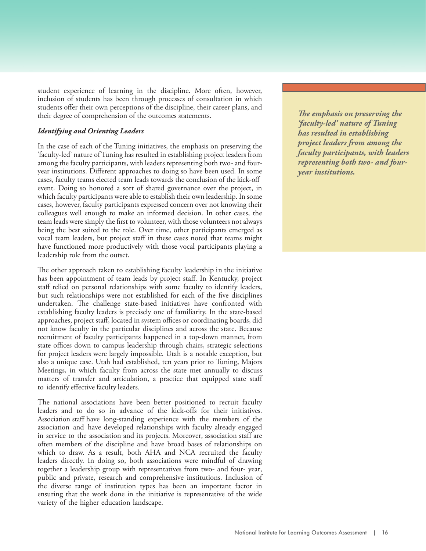student experience of learning in the discipline. More often, however, inclusion of students has been through processes of consultation in which students offer their own perceptions of the discipline, their career plans, and their degree of comprehension of the outcomes statements.

# *Identifying and Orienting Leaders*

In the case of each of the Tuning initiatives, the emphasis on preserving the 'faculty-led' nature of Tuning has resulted in establishing project leaders from among the faculty participants, with leaders representing both two- and fouryear institutions. Different approaches to doing so have been used. In some cases, faculty teams elected team leads towards the conclusion of the kick-off event. Doing so honored a sort of shared governance over the project, in which faculty participants were able to establish their own leadership. In some cases, however, faculty participants expressed concern over not knowing their colleagues well enough to make an informed decision. In other cases, the team leads were simply the first to volunteer, with those volunteers not always being the best suited to the role. Over time, other participants emerged as vocal team leaders, but project staff in these cases noted that teams might have functioned more productively with those vocal participants playing a leadership role from the outset.

The other approach taken to establishing faculty leadership in the initiative has been appointment of team leads by project staff. In Kentucky, project staff relied on personal relationships with some faculty to identify leaders, but such relationships were not established for each of the five disciplines undertaken. The challenge state-based initiatives have confronted with establishing faculty leaders is precisely one of familiarity. In the state-based approaches, project staff, located in system offices or coordinating boards, did not know faculty in the particular disciplines and across the state. Because recruitment of faculty participants happened in a top-down manner, from state offices down to campus leadership through chairs, strategic selections for project leaders were largely impossible. Utah is a notable exception, but also a unique case. Utah had established, ten years prior to Tuning, Majors Meetings, in which faculty from across the state met annually to discuss matters of transfer and articulation, a practice that equipped state staff to identify effective faculty leaders.

The national associations have been better positioned to recruit faculty leaders and to do so in advance of the kick-offs for their initiatives. Association staff have long-standing experience with the members of the association and have developed relationships with faculty already engaged in service to the association and its projects. Moreover, association staff are often members of the discipline and have broad bases of relationships on which to draw. As a result, both AHA and NCA recruited the faculty leaders directly. In doing so, both associations were mindful of drawing together a leadership group with representatives from two- and four- year, public and private, research and comprehensive institutions. Inclusion of the diverse range of institution types has been an important factor in ensuring that the work done in the initiative is representative of the wide variety of the higher education landscape.

*What is needed is not to help lhe emphasis on preserving th of higher education, thus consideration the various 'faculty-led' nature of Tuning reinforcing inequities and needs of different student has resulted in establishing expectations based on ideologies populations is a responsibility project leaders from among the the students may ascribe to, of higher education. faculty participants, with leaders but to empower students for representing both two- and foursuccess through intentional year institutions.Conducting assessment in The emphasis on preserving the*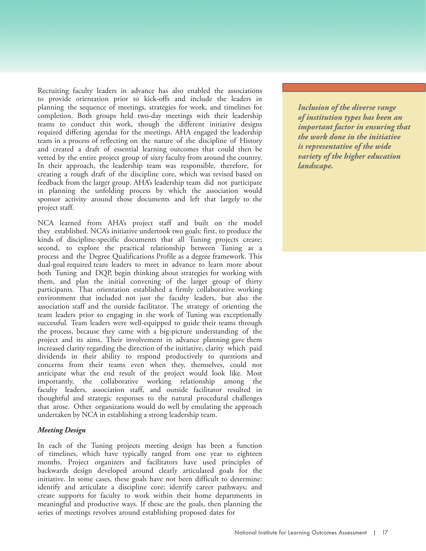Recruiting faculty leaders in advance has also enabled the associations to provide orientation prior to kick-offs and include the leaders in planning the sequence of meetings, strategies for work, and timelines for completion. Both groups held two-day meetings with their leadership teams to conduct this work, though the different initiative designs required differing agendas for the meetings. AHA engaged the leadership team in a process of reflecting on the nature of the discipline of History and created a draft of essential learning outcomes that could then be vetted by the entire project group of sixty faculty from around the country. In their approach, the leadership team was responsible, therefore, for creating a rough draft of the discipline core, which was revised based on feedback from the larger group. AHA's leadership team did not participate in planning the unfolding process by which the association would sponsor activity around those documents and left that largely to the project staff.

NCA learned from AHA's project staff and built on the model they established. NCA's initiative undertook two goals: first, to produce the kinds of discipline-specific documents that all Tuning projects create; second, to explore the practical relationship between Tuning as a process and the Degree Qualifications Profile as a degree framework. This dual-goal required team leaders to meet in advance to learn more about both Tuning and DQP, begin thinking about strategies for working with them, and plan the initial convening of the larger group of thirty participants. That orientation established a firmly collaborative working environment that included not just the faculty leaders, but also the association staff and the outside facilitator. The strategy of orienting the team leaders prior to engaging in the work of Tuning was exceptionally successful. Team leaders were well-equipped to guide their teams through the process, because they came with a big-picture understanding of the project and its aims. Their involvement in advance planning gave them increased clarity regarding the direction of the initiative, clarity which paid dividends in their ability to respond productively to questions and concerns from their teams even when they, themselves, could not anticipate what the end result of the project would look like. Most importantly, the collaborative working relationship among the faculty leaders, association staff, and outside facilitator resulted in thoughtful and strategic responses to the natural procedural challenges that arose. Other organizations would do well by emulating the approach undertaken by NCA in establishing a strong leadership team.

# *Meeting Design*

In each of the Tuning projects meeting design has been a function of timelines, which have typically ranged from one year to eighteen months. Project organizers and facilitators have used principles of backwards design developed around clearly articulated goals for the initiative. In some cases, these goals have not been difficult to determine: identify and articulate a discipline core; identify career pathways; and create supports for faculty to work within their home departments in meaningful and productive ways. If these are the goals, then planning the series of meetings revolves around establishing proposed dates for

*What is needed is not to help Conducting assessment in Inclusion of the diverse range learners conform to the ways a manner that takes into of institution types has been an important factor in ensuring that the work done in the initiative expectations based on ideologies populations is a responsibility is representative of the wide the students may ascribe to, of higher education. variety of the higher education but to empower students for landscape.*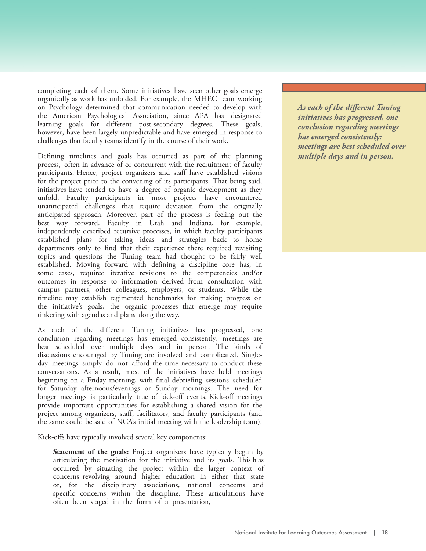completing each of them. Some initiatives have seen other goals emerge organically as work has unfolded. For example, the MHEC team working on Psychology determined that communication needed to develop with the American Psychological Association, since APA has designated learning goals for different post-secondary degrees. These goals, however, have been largely unpredictable and have emerged in response to challenges that faculty teams identify in the course of their work.

Defining timelines and goals has occurred as part of the planning process, often in advance of or concurrent with the recruitment of faculty participants. Hence, project organizers and staff have established visions for the project prior to the convening of its participants. That being said, initiatives have tended to have a degree of organic development as they unfold. Faculty participants in most projects have encountered unanticipated challenges that require deviation from the originally anticipated approach. Moreover, part of the process is feeling out the best way forward. Faculty in Utah and Indiana, for example, independently described recursive processes, in which faculty participants established plans for taking ideas and strategies back to home departments only to find that their experience there required revisiting topics and questions the Tuning team had thought to be fairly well established. Moving forward with defining a discipline core has, in some cases, required iterative revisions to the competencies and/or outcomes in response to information derived from consultation with campus partners, other colleagues, employers, or students. While the timeline may establish regimented benchmarks for making progress on the initiative's goals, the organic processes that emerge may require tinkering with agendas and plans along the way.

As each of the different Tuning initiatives has progressed, one conclusion regarding meetings has emerged consistently: meetings are best scheduled over multiple days and in person. The kinds of discussions encouraged by Tuning are involved and complicated. Singleday meetings simply do not afford the time necessary to conduct these conversations. As a result, most of the initiatives have held meetings beginning on a Friday morning, with final debriefing sessions scheduled for Saturday afternoons/evenings or Sunday mornings. The need for longer meetings is particularly true of kick-off events. Kick-off meetings provide important opportunities for establishing a shared vision for the project among organizers, staff, facilitators, and faculty participants (and the same could be said of NCA's initial meeting with the leadership team).

Kick-offs have typically involved several key components:

Statement of the goals: Project organizers have typically begun by articulating the motivation for the initiative and its goals. This h as occurred by situating the project within the larger context of concerns revolving around higher education in either that state or, for the disciplinary associations, national concerns and specific concerns within the discipline. These articulations have often been staged in the form of a presentation,

*What is needed is not to help Conducting assessment in As each of the different Tuning learners conform to the ways a manner that takes into initiatives has progressed, one of higher education, thus consideration the various conclusion regarding meetings has emerged consistently: expectations based on ideologies populations is a responsibility meetings are best scheduled over the students may ascribe to, of higher education. multiple days and in person.*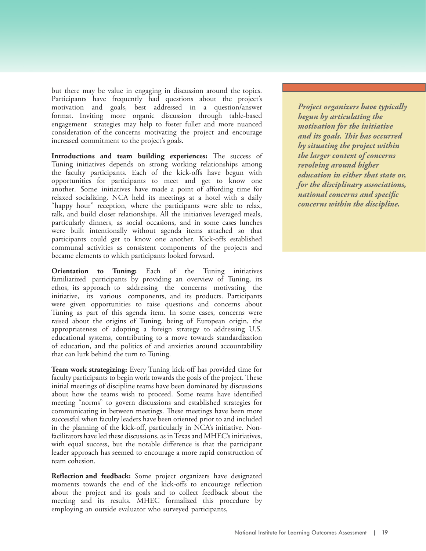but there may be value in engaging in discussion around the topics. Participants have frequently had questions about the project's motivation and goals, best addressed in a question/answer format. Inviting more organic discussion through table-based engagement strategies may help to foster fuller and more nuanced consideration of the concerns motivating the project and encourage increased commitment to the project's goals.

**Introductions and team building experiences:** The success of Tuning initiatives depends on strong working relationships among the faculty participants. Each of the kick-offs have begun with opportunities for participants to meet and get to know one another. Some initiatives have made a point of affording time for relaxed socializing. NCA held its meetings at a hotel with a daily "happy hour" reception, where the participants were able to relax, talk, and build closer relationships. All the initiatives leveraged meals, particularly dinners, as social occasions, and in some cases lunches were built intentionally without agenda items attached so that participants could get to know one another. Kick-offs established communal activities as consistent components of the projects and became elements to which participants looked forward.

**Orientation to Tuning:** Each of the Tuning initiatives familiarized participants by providing an overview of Tuning, its ethos, its approach to addressing the concerns motivating the initiative, its various components, and its products. Participants were given opportunities to raise questions and concerns about Tuning as part of this agenda item. In some cases, concerns were raised about the origins of Tuning, being of European origin, the appropriateness of adopting a foreign strategy to addressing U.S. educational systems, contributing to a move towards standardization of education, and the politics of and anxieties around accountability that can lurk behind the turn to Tuning.

**Team work strategizing:** Every Tuning kick-off has provided time for faculty participants to begin work towards the goals of the project. These initial meetings of discipline teams have been dominated by discussions about how the teams wish to proceed. Some teams have identified meeting "norms" to govern discussions and established strategies for communicating in between meetings. These meetings have been more successful when faculty leaders have been oriented prior to and included in the planning of the kick-off, particularly in NCA's initiative. Nonfacilitators have led these discussions, as in Texas and MHEC's initiatives, with equal success, but the notable difference is that the participant leader approach has seemed to encourage a more rapid construction of team cohesion.

**Reflection and feedback:** Some project organizers have designated moments towards the end of the kick-offs to encourage reflection about the project and its goals and to collect feedback about the meeting and its results. MHEC formalized this procedure by employing an outside evaluator who surveyed participants,

*What is needed is not to help Conducting assessment in Project organizers have typically learners conform to the ways a manner that takes into begun by articulating the of higher education, thus consideration the various motivation for the initiative reinforcing inequities and needs of different student and its goals. This has occurred expectations based on ideologies populations is a responsibility by situating the project within the larger context of concerns but to empower students for revolving around higher success through intentional education in either that state or, efforts to address inequality for the disciplinary associations, within our structures, create national concerns and specific clear transparent pathways, concerns within the discipline.*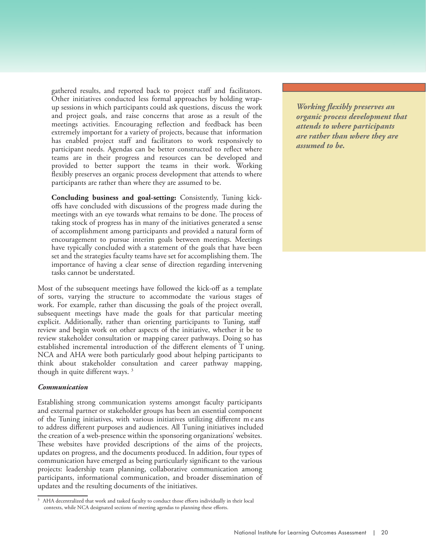gathered results, and reported back to project staff and facilitators. Other initiatives conducted less formal approaches by holding wrapup sessions in which participants could ask questions, discuss the work and project goals, and raise concerns that arose as a result of the meetings activities. Encouraging reflection and feedback has been extremely important for a variety of projects, because that information has enabled project staff and facilitators to work responsively to participant needs. Agendas can be better constructed to reflect where teams are in their progress and resources can be developed and provided to better support the teams in their work. Working flexibly preserves an organic process development that attends to where participants are rather than where they are assumed to be.

**Concluding business and goal-setting:** Consistently, Tuning kickoffs have concluded with discussions of the progress made during the meetings with an eye towards what remains to be done. The process of taking stock of progress has in many of the initiatives generated a sense of accomplishment among participants and provided a natural form of encouragement to pursue interim goals between meetings. Meetings have typically concluded with a statement of the goals that have been set and the strategies faculty teams have set for accomplishing them. The importance of having a clear sense of direction regarding intervening tasks cannot be understated.

Most of the subsequent meetings have followed the kick-off as a template of sorts, varying the structure to accommodate the various stages of work. For example, rather than discussing the goals of the project overall, subsequent meetings have made the goals for that particular meeting explicit. Additionally, rather than orienting participants to Tuning, staff review and begin work on other aspects of the initiative, whether it be to review stakeholder consultation or mapping career pathways. Doing so has established incremental introduction of the different elements of T uning. NCA and AHA were both particularly good about helping participants to think about stakeholder consultation and career pathway mapping, though in quite different ways. <sup>3</sup>

#### *Communication*

Establishing strong communication systems amongst faculty participants and external partner or stakeholder groups has been an essential component of the Tuning initiatives, with various initiatives utilizing different me ans to address different purposes and audiences. All Tuning initiatives included the creation of a web-presence within the sponsoring organizations' websites. These websites have provided descriptions of the aims of the projects, updates on progress, and the documents produced. In addition, four types of communication have emerged as being particularly significant to the various projects: leadership team planning, collaborative communication among participants, informational communication, and broader dissemination of updates and the resulting documents of the initiatives.

*Working flexibly preserves an learners conform to the ways a manner that takes into organic process development that of higher education, thus consideration the various attends to where participants reinforcing inequities and needs of different student are rather than where they are expectations based on ideologies populations is a responsibility assumed to be.*

<sup>&</sup>lt;sup>3</sup> AHA decentralized that work and tasked faculty to conduct those efforts individually in their local contexts, while NCA designated sections of meeting agendas to planning these efforts.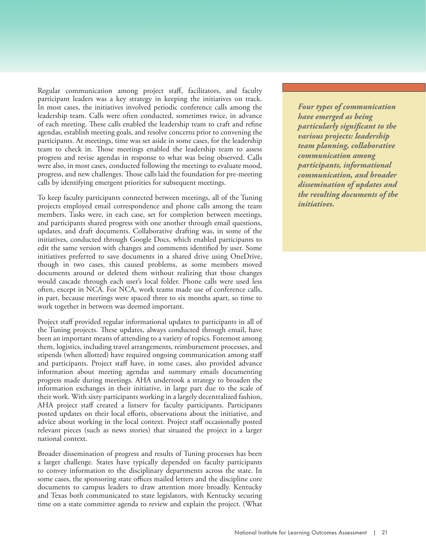Regular communication among project staff, facilitators, and faculty participant leaders was a key strategy in keeping the initiatives on track. In most cases, the initiatives involved periodic conference calls among the leadership team. Calls were often conducted, sometimes twice, in advance of each meeting. These calls enabled the leadership team to craft and refine agendas, establish meeting goals, and resolve concerns prior to convening the participants. At meetings, time was set aside in some cases, for the leadership team to check in. Those meetings enabled the leadership team to assess progress and revise agendas in response to what was being observed. Calls were also, in most cases, conducted following the meetings to evaluate mood, progress, and new challenges. Those calls laid the foundation for pre-meeting calls by identifying emergent priorities for subsequent meetings.

To keep faculty participants connected between meetings, all of the Tuning projects employed email correspondence and phone calls among the team members. Tasks were, in each case, set for completion between meetings, and participants shared progress with one another through email questions, updates, and draft documents. Collaborative drafting was, in some of the initiatives, conducted through Google Docs, which enabled participants to edit the same version with changes and comments identified by user. Some initiatives preferred to save documents in a shared drive using OneDrive, though in two cases, this caused problems, as some members moved documents around or deleted them without realizing that those changes would cascade through each user's local folder. Phone calls were used less often, except in NCA. For NCA, work teams made use of conference calls, in part, because meetings were spaced three to six months apart, so time to work together in between was deemed important.

Project staff provided regular informational updates to participants in all of the Tuning projects. These updates, always conducted through email, have been an important means of attending to a variety of topics. Foremost among them, logistics, including travel arrangements, reimbursement processes, and stipends (when allotted) have required ongoing communication among staff and participants. Project staff have, in some cases, also provided advance information about meeting agendas and summary emails documenting progress made during meetings. AHA undertook a strategy to broaden the information exchanges in their initiative, in large part due to the scale of their work. With sixty participants working in a largely decentralized fashion, AHA project staff created a listserv for faculty participants. Participants posted updates on their local efforts, observations about the initiative, and advice about working in the local context. Project staff occasionally posted relevant pieces (such as news stories) that situated the project in a larger national context.

Broader dissemination of progress and results of Tuning processes has been a larger challenge. States have typically depended on faculty participants to convey information to the disciplinary departments across the state. In some cases, the sponsoring state offices mailed letters and the discipline core documents to campus leaders to draw attention more broadly. Kentucky and Texas both communicated to state legislators, with Kentucky securing time on a state committee agenda to review and explain the project. (What

*What is needed is not to help Conducting assessment in Four types of communication learners conform to the ways a manner that takes into have emerged as being of higher education, thus consideration the various particularly significant to the reinforcing inequities and needs of different student various projects: leadership expectations based on ideologies populations is a responsibility team planning, collaborative the students may ascribe to, of higher education. communication among but to empower students for participants, informational success through intentional communication, and broader efforts to address inequality dissemination of updates and the resulting documents of the clear transparent pathways, initiatives.*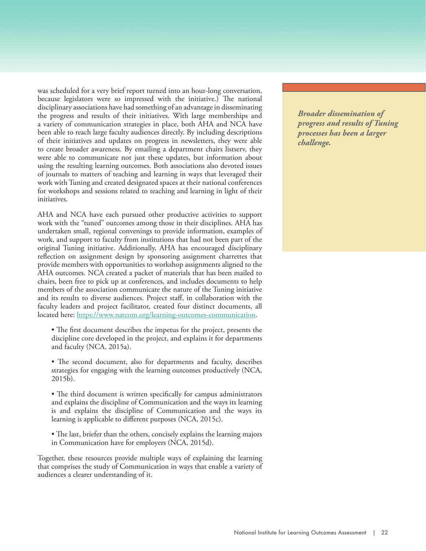was scheduled for a very brief report turned into an hour-long conversation, because legislators were so impressed with the initiative.) The national disciplinary associations have had something of an advantage in disseminating the progress and results of their initiatives. With large memberships and a variety of communication strategies in place, both AHA and NCA have been able to reach large faculty audiences directly. By including descriptions of their initiatives and updates on progress in newsletters, they were able to create broader awareness. By emailing a department chairs listserv, they were able to communicate not just these updates, but information about using the resulting learning outcomes. Both associations also devoted issues of journals to matters of teaching and learning in ways that leveraged their work with Tuning and created designated spaces at their national conferences for workshops and sessions related to teaching and learning in light of their initiatives.

AHA and NCA have each pursued other productive activities to support work with the "tuned" outcomes among those in their disciplines. AHA has undertaken small, regional convenings to provide information, examples of work, and support to faculty from institutions that had not been part of the original Tuning initiative. Additionally, AHA has encouraged disciplinary reflection on assignment design by sponsoring assignment charrettes that provide members with opportunities to workshop assignments aligned to the AHA outcomes. NCA created a packet of materials that has been mailed to chairs, been free to pick up at conferences, and includes documents to help members of the association communicate the nature of the Tuning initiative and its results to diverse audiences. Project staff, in collaboration with the faculty leaders and project facilitator, created four distinct documents, all located here: [https://www.natcom.org/learning-outcomes-communication.](https://www.natcom.org/learning-outcomes-communication)

- The first document describes the impetus for the project, presents the discipline core developed in the project, and explains it for departments and faculty (NCA, 2015a).
- The second document, also for departments and faculty, describes strategies for engaging with the learning outcomes productively (NCA,  $2015\bar{b}$ ).
- The third document is written specifically for campus administrators and explains the discipline of Communication and the ways its learning is and explains the discipline of Communication and the ways its learning is applicable to different purposes (NCA, 2015c).
- The last, briefer than the others, concisely explains the learning majors in Communication have for employers (NCA, 2015d).

Together, these resources provide multiple ways of explaining the learning that comprises the study of Communication in ways that enable a variety of audiences a clearer understanding of it.

*What is needed is not to help learners conform to the ways of higher education, thus consideration the various progress and results of Tuning reinforcing inequities and needs of different student processes has been a larger expectations based on ideologies populations is a responsibility challenge.Conducting assessment in Broader dissemination of*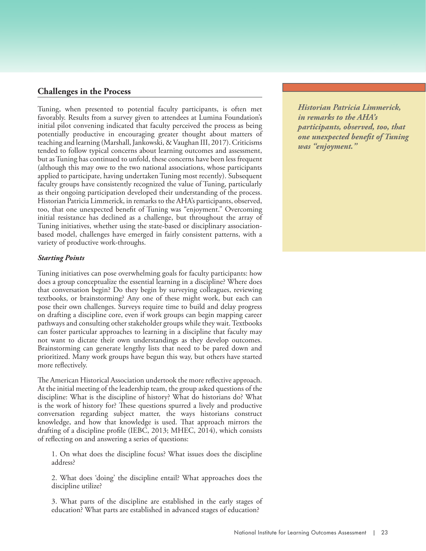# **Challenges in the Process**

Tuning, when presented to potential faculty participants, is often met favorably. Results from a survey given to attendees at Lumina Foundation's initial pilot convening indicated that faculty perceived the process as being potentially productive in encouraging greater thought about matters of teaching and learning (Marshall, Jankowski, & Vaughan III, 2017). Criticisms tended to follow typical concerns about learning outcomes and assessment, but as Tuning has continued to unfold, these concerns have been less frequent (although this may owe to the two national associations, whose participants applied to participate, having undertaken Tuning most recently). Subsequent faculty groups have consistently recognized the value of Tuning, particularly as their ongoing participation developed their understanding of the process. Historian Patricia Limmerick, in remarks to the AHA's participants, observed, too, that one unexpected benefit of Tuning was "enjoyment." Overcoming initial resistance has declined as a challenge, but throughout the array of Tuning initiatives, whether using the state-based or disciplinary associationbased model, challenges have emerged in fairly consistent patterns, with a variety of productive work-throughs.

#### *Starting Points*

Tuning initiatives can pose overwhelming goals for faculty participants: how does a group conceptualize the essential learning in a discipline? Where does that conversation begin? Do they begin by surveying colleagues, reviewing textbooks, or brainstorming? Any one of these might work, but each can pose their own challenges. Surveys require time to build and delay progress on drafting a discipline core, even if work groups can begin mapping career pathways and consulting other stakeholder groups while they wait. Textbooks can foster particular approaches to learning in a discipline that faculty may not want to dictate their own understandings as they develop outcomes. Brainstorming can generate lengthy lists that need to be pared down and prioritized. Many work groups have begun this way, but others have started more reflectively.

The American Historical Association undertook the more reflective approach. At the initial meeting of the leadership team, the group asked questions of the discipline: What is the discipline of history? What do historians do? What is the work of history for? These questions spurred a lively and productive conversation regarding subject matter, the ways historians construct knowledge, and how that knowledge is used. That approach mirrors the drafting of a discipline profile (IEBC, 2013; MHEC, 2014), which consists of reflecting on and answering a series of questions:

1. On what does the discipline focus? What issues does the discipline address?

2. What does 'doing' the discipline entail? What approaches does the discipline utilize?

3. What parts of the discipline are established in the early stages of education? What parts are established in advanced stages of education?

*What is needed is not to help Conducting assessment in Historian Patricia Limmerick, in remarks to the AHA's of higher education, thus consideration the various participants, observed, too, that one unexpected benefit of Tuning expectations based on ideologies populations is a responsibility was "enjoyment."*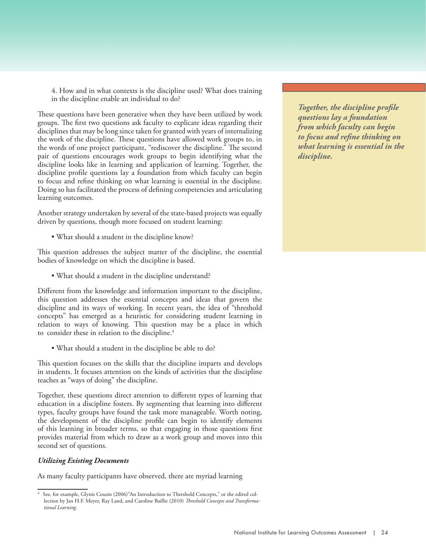4. How and in what contexts is the discipline used? What does training in the discipline enable an individual to do?

These questions have been generative when they have been utilized by work groups. The first two questions ask faculty to explicate ideas regarding their disciplines that may be long since taken for granted with years of internalizing the work of the discipline. These questions have allowed work groups to, in the words of one project participant, "rediscover the discipline." The second pair of questions encourages work groups to begin identifying what the discipline looks like in learning and application of learning. Together, the discipline profile questions lay a foundation from which faculty can begin to focus and refine thinking on what learning is essential in the discipline. Doing so has facilitated the process of defining competencies and articulating learning outcomes.

Another strategy undertaken by several of the state-based projects was equally driven by questions, though more focused on student learning:

• What should a student in the discipline know?

This question addresses the subject matter of the discipline, the essential bodies of knowledge on which the discipline is based.

• What should a student in the discipline understand?

Different from the knowledge and information important to the discipline, this question addresses the essential concepts and ideas that govern the discipline and its ways of working. In recent years, the idea of "threshold concepts" has emerged as a heuristic for considering student learning in relation to ways of knowing. This question may be a place in which to consider these in relation to the discipline.<sup>4</sup>

• What should a student in the discipline be able to do?

This question focuses on the skills that the discipline imparts and develops in students. It focuses attention on the kinds of activities that the discipline teaches as "ways of doing" the discipline.

Together, these questions direct attention to different types of learning that education in a discipline fosters. By segmenting that learning into different types, faculty groups have found the task more manageable. Worth noting, the development of the discipline profile can begin to identify elements of this learning in broader terms, so that engaging in those questions first provides material from which to draw as a work group and moves into this second set of questions.

# *Utilizing Existing Documents*

As many faculty participants have observed, there are myriad learning

*What is needed is not to help Conducting assessment in Together, the discipline profile learners conform to the ways a manner that takes into questions lay a foundation of higher education, thus consideration the various from which faculty can begin to focus and refine thinking on expectations based on ideologies populations is a responsibility what learning is essential in the the students may ascribe to, of higher education. discipline.*

<sup>4</sup> See, for example, Glynis Cousin (2006)"An Introduction to Threshold Concepts," or the edited collection by Jan H.F. Meyer, Ray Land, and Caroline Baillie (2010) *Threshold Concepts and Transformational Learning.*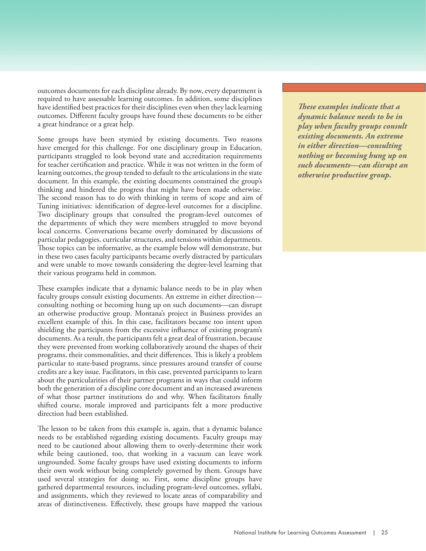outcomes documents for each discipline already. By now, every department is required to have assessable learning outcomes. In addition, some disciplines have identified best practices for their disciplines even when they lack learning outcomes. Different faculty groups have found these documents to be either a great hindrance or a great help.

Some groups have been stymied by existing documents. Two reasons have emerged for this challenge. For one disciplinary group in Education, participants struggled to look beyond state and accreditation requirements for teacher certification and practice. While it was not written in the form of learning outcomes, the group tended to default to the articulations in the state document. In this example, the existing documents constrained the group's thinking and hindered the progress that might have been made otherwise. The second reason has to do with thinking in terms of scope and aim of Tuning initiatives: identification of degree-level outcomes for a discipline. Two disciplinary groups that consulted the program-level outcomes of the departments of which they were members struggled to move beyond local concerns. Conversations became overly dominated by discussions of particular pedagogies, curricular structures, and tensions within departments. Those topics can be informative, as the example below will demonstrate, but in these two cases faculty participants became overly distracted by particulars and were unable to move towards considering the degree-level learning that their various programs held in common.

These examples indicate that a dynamic balance needs to be in play when faculty groups consult existing documents. An extreme in either direction consulting nothing or becoming hung up on such documents—can disrupt an otherwise productive group. Montana's project in Business provides an excellent example of this. In this case, facilitators became too intent upon shielding the participants from the excessive influence of existing program's documents. As a result, the participants felt a great deal of frustration, because they were prevented from working collaboratively around the shapes of their programs, their commonalities, and their differences. This is likely a problem particular to state-based programs, since pressures around transfer of course credits are a key issue. Facilitators, in this case, prevented participants to learn about the particularities of their partner programs in ways that could inform both the generation of a discipline core document and an increased awareness of what those partner institutions do and why. When facilitators finally shifted course, morale improved and participants felt a more productive direction had been established.

The lesson to be taken from this example is, again, that a dynamic balance needs to be established regarding existing documents. Faculty groups may need to be cautioned about allowing them to overly-determine their work while being cautioned, too, that working in a vacuum can leave work ungrounded. Some faculty groups have used existing documents to inform their own work without being completely governed by them. Groups have used several strategies for doing so. First, some discipline groups have gathered departmental resources, including program-level outcomes, syllabi, and assignments, which they reviewed to locate areas of comparability and areas of distinctiveness. Effectively, these groups have mapped the various

*These examples indicate that a learners conform to the ways a manner that takes into dynamic balance needs to be in of higher education, thus consideration the various play when faculty groups consult*   $$ *expectations based on ideologies populations is a responsibility in either direction—consulting the students may ascribe to, of higher education. nothing or becoming hung up on but to empower students for such documents—can disrupt an success through intentional otherwise productive group.*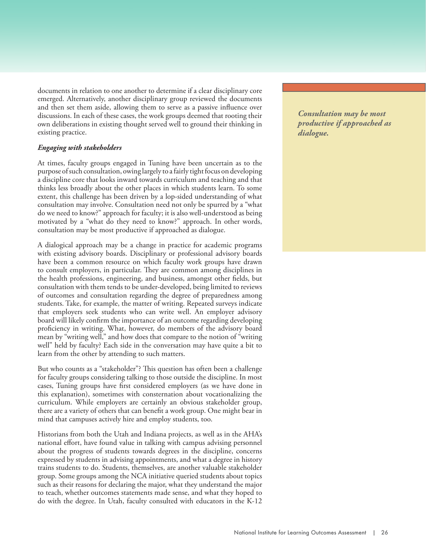documents in relation to one another to determine if a clear disciplinary core emerged. Alternatively, another disciplinary group reviewed the documents and then set them aside, allowing them to serve as a passive influence over discussions. In each of these cases, the work groups deemed that rooting their own deliberations in existing thought served well to ground their thinking in existing practice.

# *Engaging with stakeholders*

At times, faculty groups engaged in Tuning have been uncertain as to the purpose of such consultation, owing largely to a fairly tight focus on developing a discipline core that looks inward towards curriculum and teaching and that thinks less broadly about the other places in which students learn. To some extent, this challenge has been driven by a lop-sided understanding of what consultation may involve. Consultation need not only be spurred by a "what do we need to know?" approach for faculty; it is also well-understood as being motivated by a "what do they need to know?" approach. In other words, consultation may be most productive if approached as dialogue.

A dialogical approach may be a change in practice for academic programs with existing advisory boards. Disciplinary or professional advisory boards have been a common resource on which faculty work groups have drawn to consult employers, in particular. They are common among disciplines in the health professions, engineering, and business, amongst other fields, but consultation with them tends to be under-developed, being limited to reviews of outcomes and consultation regarding the degree of preparedness among students. Take, for example, the matter of writing. Repeated surveys indicate that employers seek students who can write well. An employer advisory board will likely confirm the importance of an outcome regarding developing proficiency in writing. What, however, do members of the advisory board mean by "writing well," and how does that compare to the notion of "writing well" held by faculty? Each side in the conversation may have quite a bit to learn from the other by attending to such matters.

But who counts as a "stakeholder"? This question has often been a challenge for faculty groups considering talking to those outside the discipline. In most cases, Tuning groups have first considered employers (as we have done in this explanation), sometimes with consternation about vocationalizing the curriculum. While employers are certainly an obvious stakeholder group, there are a variety of others that can benefit a work group. One might bear in mind that campuses actively hire and employ students, too.

Historians from both the Utah and Indiana projects, as well as in the AHA's national effort, have found value in talking with campus advising personnel about the progress of students towards degrees in the discipline, concerns expressed by students in advising appointments, and what a degree in history trains students to do. Students, themselves, are another valuable stakeholder group. Some groups among the NCA initiative queried students about topics such as their reasons for declaring the major, what they understand the major to teach, whether outcomes statements made sense, and what they hoped to do with the degree. In Utah, faculty consulted with educators in the K-12

*What is needed is not to help learners conform to the ways of higher education, thus consideration the various productive if approached as reinforcing inequities and needs of different student dialogue.Conducting assessment in Consultation may be most*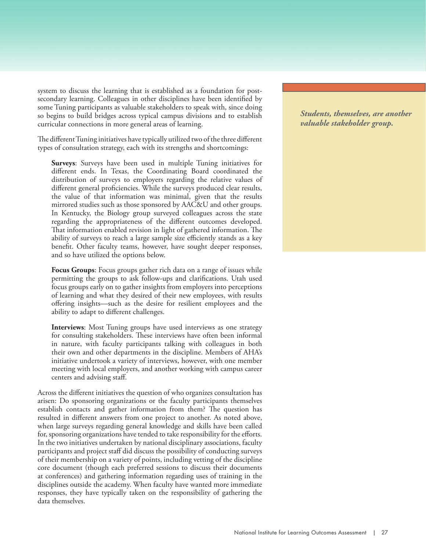system to discuss the learning that is established as a foundation for postsecondary learning. Colleagues in other disciplines have been identified by some Tuning participants as valuable stakeholders to speak with, since doing so begins to build bridges across typical campus divisions and to establish curricular connections in more general areas of learning.

The different Tuning initiatives have typically utilized two of the three different types of consultation strategy, each with its strengths and shortcomings:

**Surveys**: Surveys have been used in multiple Tuning initiatives for different ends. In Texas, the Coordinating Board coordinated the distribution of surveys to employers regarding the relative values of different general proficiencies. While the surveys produced clear results, the value of that information was minimal, given that the results mirrored studies such as those sponsored by AAC&U and other groups. In Kentucky, the Biology group surveyed colleagues across the state regarding the appropriateness of the different outcomes developed. That information enabled revision in light of gathered information. The ability of surveys to reach a large sample size efficiently stands as a key benefit. Other faculty teams, however, have sought deeper responses, and so have utilized the options below.

**Focus Groups**: Focus groups gather rich data on a range of issues while permitting the groups to ask follow-ups and clarifications. Utah used focus groups early on to gather insights from employers into perceptions of learning and what they desired of their new employees, with results offering insights—such as the desire for resilient employees and the ability to adapt to different challenges.

**Interviews**: Most Tuning groups have used interviews as one strategy for consulting stakeholders. These interviews have often been informal in nature, with faculty participants talking with colleagues in both their own and other departments in the discipline. Members of AHA's initiative undertook a variety of interviews, however, with one member meeting with local employers, and another working with campus career centers and advising staff.

Across the different initiatives the question of who organizes consultation has arisen: Do sponsoring organizations or the faculty participants themselves establish contacts and gather information from them? The question has resulted in different answers from one project to another. As noted above, when large surveys regarding general knowledge and skills have been called for, sponsoring organizations have tended to take responsibility for the efforts. In the two initiatives undertaken by national disciplinary associations, faculty participants and project staff did discuss the possibility of conducting surveys of their membership on a variety of points, including vetting of the discipline core document (though each preferred sessions to discuss their documents at conferences) and gathering information regarding uses of training in the disciplines outside the academy. When faculty have wanted more immediate responses, they have typically taken on the responsibility of gathering the data themselves.

*What is needed is not to help <i>dearners, themselves, are and of higher education, thus consideration the various valuable stakeholder group.Conducting assessment in a manner that takes into Students, themselves, are another*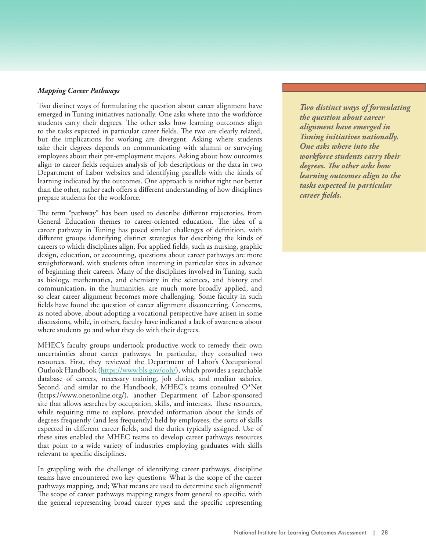#### *Mapping Career Pathways*

Two distinct ways of formulating the question about career alignment have emerged in Tuning initiatives nationally. One asks where into the workforce students carry their degrees. The other asks how learning outcomes align to the tasks expected in particular career fields. The two are clearly related, but the implications for working are divergent. Asking where students take their degrees depends on communicating with alumni or surveying employees about their pre-employment majors. Asking about how outcomes align to career fields requires analysis of job descriptions or the data in two Department of Labor websites and identifying parallels with the kinds of learning indicated by the outcomes. One approach is neither right nor better than the other, rather each offers a different understanding of how disciplines prepare students for the workforce.

The term "pathway" has been used to describe different trajectories, from General Education themes to career-oriented education. The idea of a career pathway in Tuning has posed similar challenges of definition, with different groups identifying distinct strategies for describing the kinds of careers to which disciplines align. For applied fields, such as nursing, graphic design, education, or accounting, questions about career pathways are more straightforward, with students often interning in particular sites in advance of beginning their careers. Many of the disciplines involved in Tuning, such as biology, mathematics, and chemistry in the sciences, and history and communication, in the humanities, are much more broadly applied, and so clear career alignment becomes more challenging. Some faculty in such fields have found the question of career alignment disconcerting. Concerns, as noted above, about adopting a vocational perspective have arisen in some discussions, while, in others, faculty have indicated a lack of awareness about where students go and what they do with their degrees.

MHEC's faculty groups undertook productive work to remedy their own uncertainties about career pathways. In particular, they consulted two resources. First, they reviewed the Department of Labor's Occupational Outlook Handbook [\(https://www.bls.gov/ooh/\)](https://www.bls.gov/ooh/), which provides a searchable database of careers, necessary training, job duties, and median salaries. Second, and similar to the Handbook, MHEC's teams consulted O\*Net (https://www.onetonline.org/), another Department of Labor-sponsored site that allows searches by occupation, skills, and interests. These resources, while requiring time to explore, provided information about the kinds of degrees frequently (and less frequently) held by employees, the sorts of skills expected in different career fields, and the duties typically assigned. Use of these sites enabled the MHEC teams to develop career pathways resources that point to a wide variety of industries employing graduates with skills relevant to specific disciplines.

In grappling with the challenge of identifying career pathways, discipline teams have encountered two key questions: What is the scope of the career pathways mapping, and; What means are used to determine such alignment? The scope of career pathways mapping ranges from general to specific, with the general representing broad career types and the specific representing *What is needed is not to help Conducting assessment in Two distinct ways of formulating the question about career*  $\overline{\phantom{a}}$ *of higher education, thus consideration the various alignment have emerged in Tuning initiatives nationally. <u>One asks where into the <i>populations*</u> *the students may ascribe to, of higher education. workforce students carry their but to empower students for degrees. The other asks how success through intentional learning outcomes align to the efforts to address inequality tasks expected in particular within our structures, create career fields.*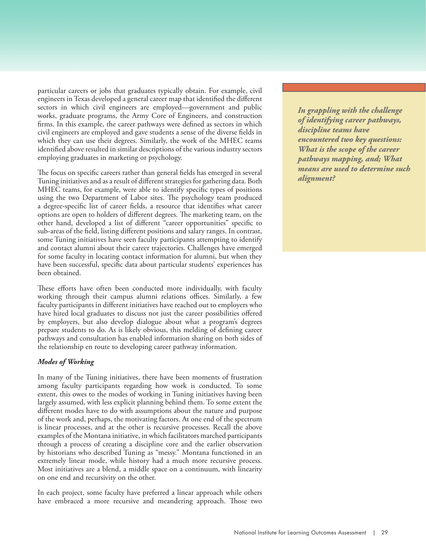particular careers or jobs that graduates typically obtain. For example, civil engineers in Texas developed a general career map that identified the different sectors in which civil engineers are employed—government and public works, graduate programs, the Army Core of Engineers, and construction firms. In this example, the career pathways were defined as sectors in which civil engineers are employed and gave students a sense of the diverse fields in which they can use their degrees. Similarly, the work of the MHEC teams identified above resulted in similar descriptions of the various industry sectors employing graduates in marketing or psychology.

The focus on specific careers rather than general fields has emerged in several Tuning initiatives and as a result of different strategies for gathering data. Both MHEC teams, for example, were able to identify specific types of positions using the two Department of Labor sites. The psychology team produced a degree-specific list of career fields, a resource that identifies what career options are open to holders of different degrees. The marketing team, on the other hand, developed a list of different "career opportunities" specific to sub-areas of the field, listing different positions and salary ranges. In contrast, some Tuning initiatives have seen faculty participants attempting to identify and contact alumni about their career trajectories. Challenges have emerged for some faculty in locating contact information for alumni, but when they have been successful, specific data about particular students' experiences has been obtained.

These efforts have often been conducted more individually, with faculty working through their campus alumni relations offices. Similarly, a few faculty participants in different initiatives have reached out to employers who have hired local graduates to discuss not just the career possibilities offered by employers, but also develop dialogue about what a program's degrees prepare students to do. As is likely obvious, this melding of defining career pathways and consultation has enabled information sharing on both sides of the relationship en route to developing career pathway information.

# *Modes of Working*

In many of the Tuning initiatives, there have been moments of frustration among faculty participants regarding how work is conducted. To some extent, this owes to the modes of working in Tuning initiatives having been largely assumed, with less explicit planning behind them. To some extent the different modes have to do with assumptions about the nature and purpose of the work and, perhaps, the motivating factors. At one end of the spectrum is linear processes, and at the other is recursive processes. Recall the above examples of the Montana initiative, in which facilitators marched participants through a process of creating a discipline core and the earlier observation by historians who described Tuning as "messy." Montana functioned in an extremely linear mode, while history had a much more recursive process. Most initiatives are a blend, a middle space on a continuum, with linearity on one end and recursivity on the other.

In each project, some faculty have preferred a linear approach while others have embraced a more recursive and meandering approach. Those two *What is needed is not to help Conducting assessment in In grappling with the challenge learners conform to the ways a manner that takes into of identifying career pathways, of higher education, thus consideration the various discipline teams have reinforcing inequities and needs of different student encountered two key questions: expectations based on ideologies populations is a responsibility What is the scope of the career the students may ascribe to, of higher education. pathways mapping, and; What but to empower students for means are used to determine such success through intentional alignment?efforts to address inequality*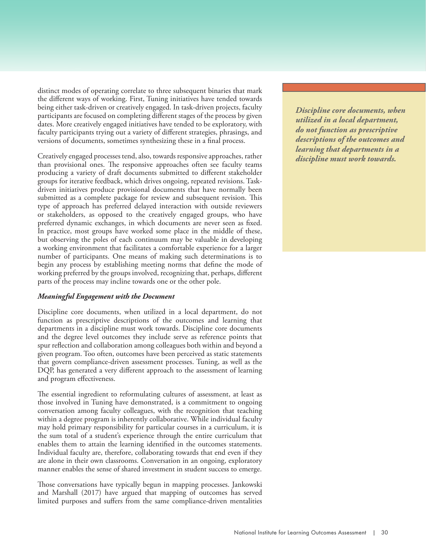distinct modes of operating correlate to three subsequent binaries that mark the different ways of working. First, Tuning initiatives have tended towards being either task-driven or creatively engaged. In task-driven projects, faculty participants are focused on completing different stages of the process by given dates. More creatively engaged initiatives have tended to be exploratory, with faculty participants trying out a variety of different strategies, phrasings, and versions of documents, sometimes synthesizing these in a final process.

Creatively engaged processes tend, also, towards responsive approaches, rather than provisional ones. The responsive approaches often see faculty teams producing a variety of draft documents submitted to different stakeholder groups for iterative feedback, which drives ongoing, repeated revisions. Taskdriven initiatives produce provisional documents that have normally been submitted as a complete package for review and subsequent revision. This type of approach has preferred delayed interaction with outside reviewers or stakeholders, as opposed to the creatively engaged groups, who have preferred dynamic exchanges, in which documents are never seen as fixed. In practice, most groups have worked some place in the middle of these, but observing the poles of each continuum may be valuable in developing a working environment that facilitates a comfortable experience for a larger number of participants. One means of making such determinations is to begin any process by establishing meeting norms that define the mode of working preferred by the groups involved, recognizing that, perhaps, different parts of the process may incline towards one or the other pole.

#### *Meaningful Engagement with the Document*

Discipline core documents, when utilized in a local department, do not function as prescriptive descriptions of the outcomes and learning that departments in a discipline must work towards. Discipline core documents and the degree level outcomes they include serve as reference points that spur reflection and collaboration among colleagues both within and beyond a given program. Too often, outcomes have been perceived as static statements that govern compliance-driven assessment processes. Tuning, as well as the DQP, has generated a very different approach to the assessment of learning and program effectiveness.

The essential ingredient to reformulating cultures of assessment, at least as those involved in Tuning have demonstrated, is a commitment to ongoing conversation among faculty colleagues, with the recognition that teaching within a degree program is inherently collaborative. While individual faculty may hold primary responsibility for particular courses in a curriculum, it is the sum total of a student's experience through the entire curriculum that enables them to attain the learning identified in the outcomes statements. Individual faculty are, therefore, collaborating towards that end even if they are alone in their own classrooms. Conversation in an ongoing, exploratory manner enables the sense of shared investment in student success to emerge.

Those conversations have typically begun in mapping processes. Jankowski and Marshall (2017) have argued that mapping of outcomes has served limited purposes and suffers from the same compliance-driven mentalities *What is needed is not to help Conducting assessment in Discipline core documents, when learners conform to the ways a manner that takes into utilized in a local department, of higher education, thus consideration the various do not function as prescriptive reinforcing inequities and needs of different student descriptions of the outcomes and expectations based on ideologies populations is a responsibility learning that departments in a the students may ascribe to, but to empower students for of higher education. discipline must work towards.*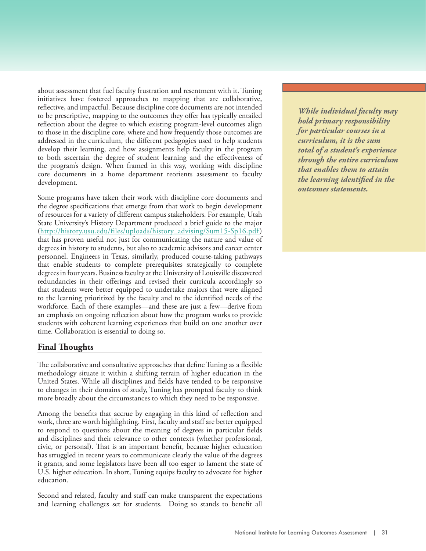about assessment that fuel faculty frustration and resentment with it. Tuning initiatives have fostered approaches to mapping that are collaborative, reflective, and impactful. Because discipline core documents are not intended to be prescriptive, mapping to the outcomes they offer has typically entailed reflection about the degree to which existing program-level outcomes align to those in the discipline core, where and how frequently those outcomes are addressed in the curriculum, the different pedagogies used to help students develop their learning, and how assignments help faculty in the program to both ascertain the degree of student learning and the effectiveness of the program's design. When framed in this way, working with discipline core documents in a home department reorients assessment to faculty development.

Some programs have taken their work with discipline core documents and the degree specifications that emerge from that work to begin development of resources for a variety of different campus stakeholders. For example, Utah State University's History Department produced a brief guide to the major [\(http://history.usu.edu/files/uploads/history\\_advising/Sum15-Sp16.pdf\)](http://history.usu.edu/files/uploads/history_advising/Sum15-Sp16.pdf)  that has proven useful not just for communicating the nature and value of degrees in history to students, but also to academic advisors and career center personnel. Engineers in Texas, similarly, produced course-taking pathways that enable students to complete prerequisites strategically to complete degrees in four years. Business faculty at the University of Louisville discovered redundancies in their offerings and revised their curricula accordingly so that students were better equipped to undertake majors that were aligned to the learning prioritized by the faculty and to the identified needs of the workforce. Each of these examples—and these are just a few—derive from an emphasis on ongoing reflection about how the program works to provide students with coherent learning experiences that build on one another over time. Collaboration is essential to doing so.

# **Final Thoughts**

The collaborative and consultative approaches that define Tuning as a flexible methodology situate it within a shifting terrain of higher education in the United States. While all disciplines and fields have tended to be responsive to changes in their domains of study, Tuning has prompted faculty to think more broadly about the circumstances to which they need to be responsive.

Among the benefits that accrue by engaging in this kind of reflection and work, three are worth highlighting. First, faculty and staff are better equipped to respond to questions about the meaning of degrees in particular fields and disciplines and their relevance to other contexts (whether professional, civic, or personal). That is an important benefit, because higher education has struggled in recent years to communicate clearly the value of the degrees it grants, and some legislators have been all too eager to lament the state of U.S. higher education. In short, Tuning equips faculty to advocate for higher education.

Second and related, faculty and staff can make transparent the expectations and learning challenges set for students. Doing so stands to benefit all *While individual faculty may learners conform to the ways a manner that takes into hold primary responsibility of higher education, thus consideration the various for particular courses in a reinforcing inequities and needs of different student curriculum, it is the sum expectations based on ideologies populations is a responsibility total of a student's experience the students may ascribe to, of higher education. through the entire curriculum but to empower students for that enables them to attain success through intentional the learning identified in the efforts to address inequality outcomes statements.within our structures, create*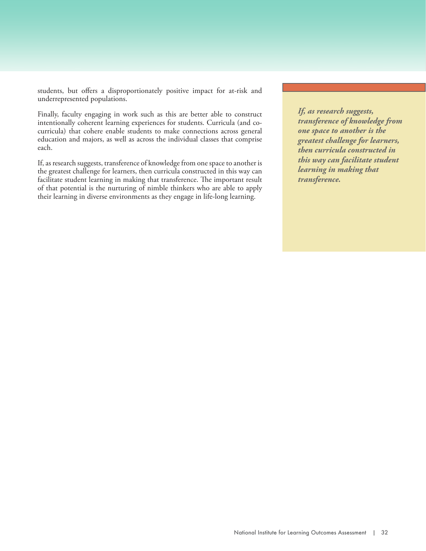students, but offers a disproportionately positive impact for at-risk and underrepresented populations.

Finally, faculty engaging in work such as this are better able to construct intentionally coherent learning experiences for students. Curricula (and cocurricula) that cohere enable students to make connections across general education and majors, as well as across the individual classes that comprise each.

If, as research suggests, transference of knowledge from one space to another is the greatest challenge for learners, then curricula constructed in this way can facilitate student learning in making that transference. The important result of that potential is the nurturing of nimble thinkers who are able to apply their learning in diverse environments as they engage in life-long learning.

*If, as research suggests, transference of knowledge from one space to another is the greatest challenge for learners, then curricula constructed in this way can facilitate student learning in making that transference.*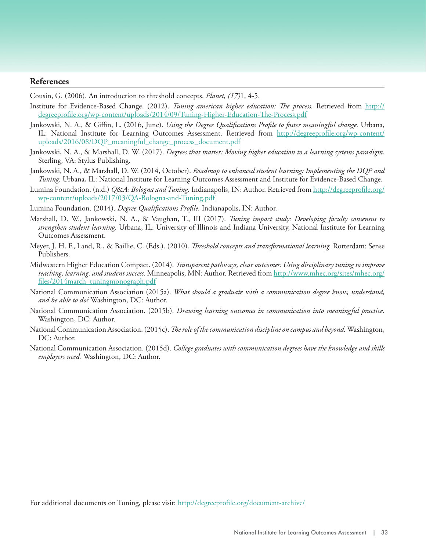# **References**

Cousin, G. (2006). An introduction to threshold concepts. *Planet, (17)*1, 4-5.

- Institute for Evidence-Based Change. (2012). *Tuning american higher education: The process.* Retrieved from [http://](http://degreeprofile.org/wp-content/uploads/2014/09/Tuning-Higher-Education-The-Process.pdf) [degreeprofile.org/wp-content/uploads/2014/09/Tuning-Higher-Education-The-Process.pdf](http://degreeprofile.org/wp-content/uploads/2014/09/Tuning-Higher-Education-The-Process.pdf)
- Jankowski, N. A., & Giffin, L. (2016, June). *Using the Degree Qualifications Profile to foster meaningful change.* Urbana, IL: National Institute for Learning Outcomes Assessment. Retrieved from [http://degreeprofile.org/wp-content/](http://degreeprofile.org/wp-content/uploads/2016/08/DQP_meaningful_change_process_document.pdf) uploads/2016/08/DQP\_meaningful\_change\_process\_document.pdf
- Jankowski, N. A., & Marshall, D. W. (2017). *Degrees that matter: Moving higher education to a learning systems paradigm.* Sterling, VA: Stylus Publishing.
- Jankowski, N. A., & Marshall, D. W. (2014, October). *Roadmap to enhanced student learning: Implementing the DQP and Tuning.* Urbana, IL: National Institute for Learning Outcomes Assessment and Institute for Evidence-Based Change.
- Lumina Foundation. (n.d.) *Q*&*A: Bologna and Tuning.* Indianapolis, IN: Author. Retrieved from [http://degreeprofile.org/](http://degreeprofile.org/wp-content/uploads/2017/03/QA-Bologna-and-Tuning.pdf) [wp-content/uploads/2017/03/QA-Bologna-and-Tuning.pdf](http://degreeprofile.org/wp-content/uploads/2017/03/QA-Bologna-and-Tuning.pdf)
- Lumina Foundation. (2014). *Degree Qualifications Profile.* Indianapolis, IN: Author.
- Marshall, D. W., Jankowski, N. A., & Vaughan, T., III (2017). *Tuning impact study: Developing faculty consensus to strengthen student learning.* Urbana, IL: University of Illinois and Indiana University, National Institute for Learning Outcomes Assessment.
- Meyer, J. H. F., Land, R., & Baillie, C. (Eds.). (2010). *Threshold concepts and transformational learning.* Rotterdam: Sense Publishers.
- Midwestern Higher Education Compact. (2014). *Transparent pathways, clear outcomes: Using disciplinary tuning to improve teaching, learning, and student success.* Minneapolis, MN: Author. Retrieved fro[m http://www.mhec.org/sites/mhec.org/](http://www.mhec.org/sites/mhec.org/files/2014march_tuningmonograph.pdf) [files/2014march\\_tuningmonograph.pdf](http://www.mhec.org/sites/mhec.org/files/2014march_tuningmonograph.pdf)
- National Communication Association (2015a). *What should a graduate with a communication degree know, understand, and be able to do?* Washington, DC: Author.
- National Communication Association. (2015b). *Drawing learning outcomes in communication into meaningful practice.*  Washington, DC: Author.
- National Communication Association. (2015c). *The role of the communication discipline on campus and beyond.* Washington, DC: Author.
- National Communication Association. (2015d). *College graduates with communication degrees have the knowledge and skills employers need.* Washington, DC: Author.

For additional documents on Tuning, please visit:<http://degreeprofile.org/document-archive/>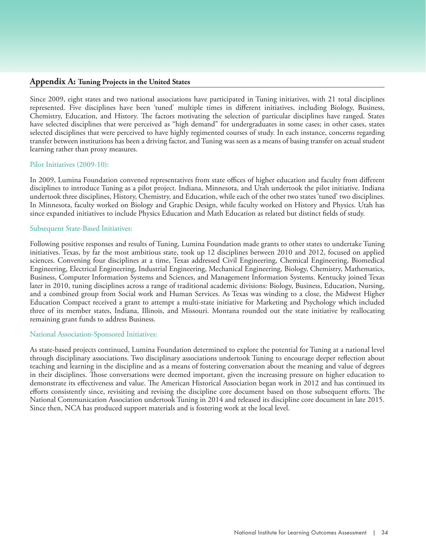#### **Appendix A: Tuning Projects in the United States**

Since 2009, eight states and two national associations have participated in Tuning initiatives, with 21 total disciplines represented. Five disciplines have been 'tuned' multiple times in different initiatives, including Biology, Business, Chemistry, Education, and History. The factors motivating the selection of particular disciplines have ranged. States have selected disciplines that were perceived as "high demand" for undergraduates in some cases; in other cases, states selected disciplines that were perceived to have highly regimented courses of study. In each instance, concerns regarding transfer between institutions has been a driving factor, and Tuning was seen as a means of basing transfer on actual student learning rather than proxy measures.

#### Pilot Initiatives (2009-10):

In 2009, Lumina Foundation convened representatives from state offices of higher education and faculty from different disciplines to introduce Tuning as a pilot project. Indiana, Minnesota, and Utah undertook the pilot initiative. Indiana undertook three disciplines, History, Chemistry, and Education, while each of the other two states 'tuned' two disciplines. In Minnesota, faculty worked on Biology and Graphic Design, while faculty worked on History and Physics. Utah has since expanded initiatives to include Physics Education and Math Education as related but distinct fields of study.

#### Subsequent State-Based Initiatives:

Following positive responses and results of Tuning, Lumina Foundation made grants to other states to undertake Tuning initiatives. Texas, by far the most ambitious state, took up 12 disciplines between 2010 and 2012, focused on applied sciences. Convening four disciplines at a time, Texas addressed Civil Engineering, Chemical Engineering, Biomedical Engineering, Electrical Engineering, Industrial Engineering, Mechanical Engineering, Biology, Chemistry, Mathematics, Business, Computer Information Systems and Sciences, and Management Information Systems. Kentucky joined Texas later in 2010, tuning disciplines across a range of traditional academic divisions: Biology, Business, Education, Nursing, and a combined group from Social work and Human Services. As Texas was winding to a close, the Midwest Higher Education Compact received a grant to attempt a multi-state initiative for Marketing and Psychology which included three of its member states, Indiana, Illinois, and Missouri. Montana rounded out the state initiative by reallocating remaining grant funds to address Business.

#### National Association-Sponsored Initiatives:

As state-based projects continued, Lumina Foundation determined to explore the potential for Tuning at a national level through disciplinary associations. Two disciplinary associations undertook Tuning to encourage deeper reflection about teaching and learning in the discipline and as a means of fostering conversation about the meaning and value of degrees in their disciplines. Those conversations were deemed important, given the increasing pressure on higher education to demonstrate its effectiveness and value. The American Historical Association began work in 2012 and has continued its efforts consistently since, revisiting and revising the discipline core document based on those subsequent efforts. The National Communication Association undertook Tuning in 2014 and released its discipline core document in late 2015. Since then, NCA has produced support materials and is fostering work at the local level.